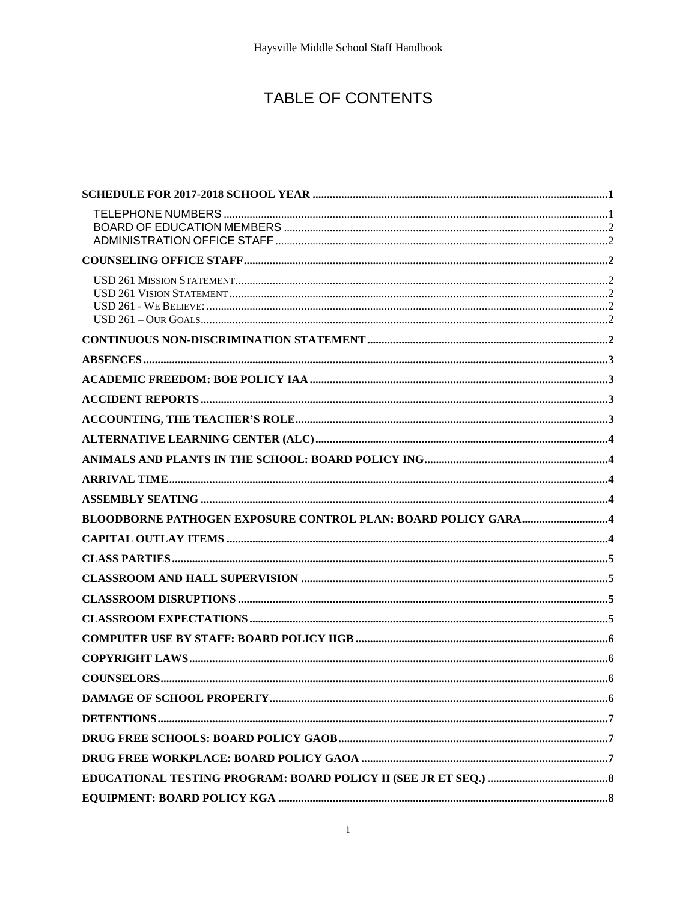## TABLE OF CONTENTS

| ….6 |
|-----|
|     |
|     |
|     |
|     |
|     |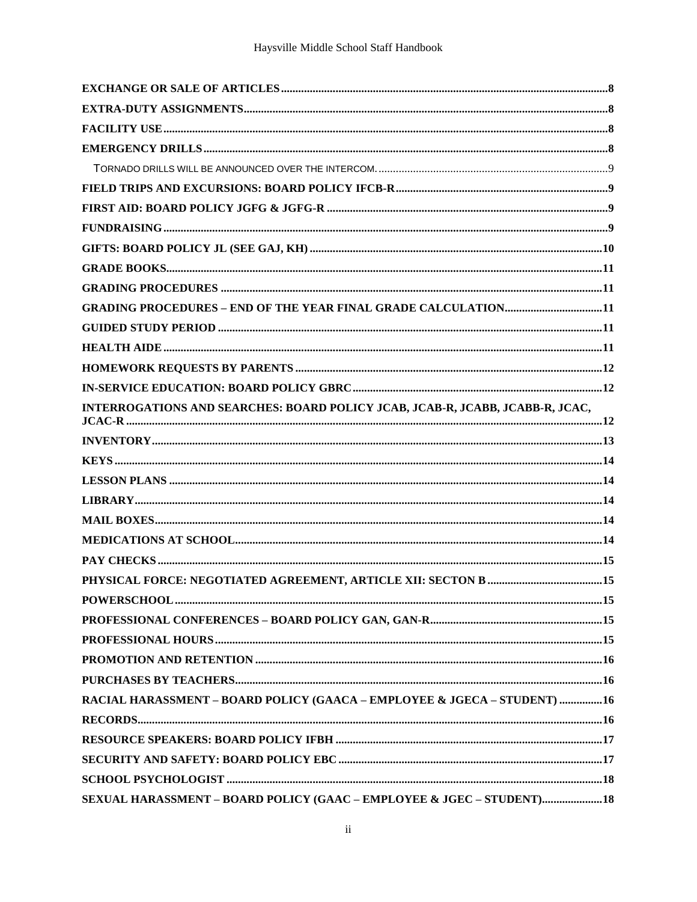| <b>GRADING PROCEDURES - END OF THE YEAR FINAL GRADE CALCULATION11</b>         |  |
|-------------------------------------------------------------------------------|--|
|                                                                               |  |
|                                                                               |  |
|                                                                               |  |
|                                                                               |  |
| INTERROGATIONS AND SEARCHES: BOARD POLICY JCAB, JCAB-R, JCABB, JCABB-R, JCAC, |  |
|                                                                               |  |
|                                                                               |  |
|                                                                               |  |
|                                                                               |  |
|                                                                               |  |
|                                                                               |  |
|                                                                               |  |
|                                                                               |  |
|                                                                               |  |
|                                                                               |  |
|                                                                               |  |
|                                                                               |  |
|                                                                               |  |
| RACIAL HARASSMENT - BOARD POLICY (GAACA - EMPLOYEE & JGECA - STUDENT) 16      |  |
|                                                                               |  |
|                                                                               |  |
|                                                                               |  |
|                                                                               |  |
| SEXUAL HARASSMENT - BOARD POLICY (GAAC - EMPLOYEE & JGEC - STUDENT) 18        |  |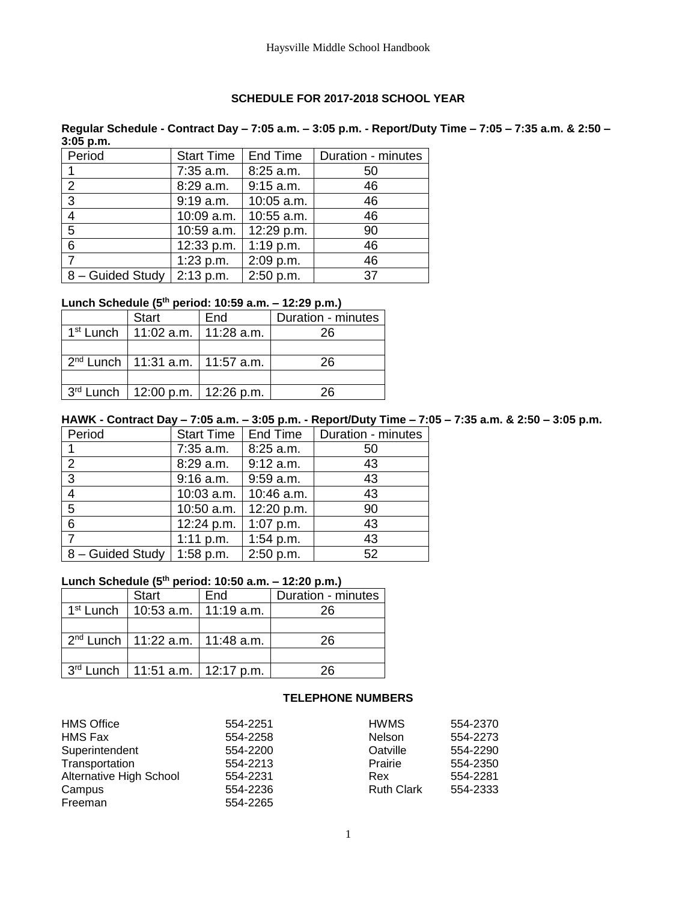#### **SCHEDULE FOR 2017-2018 SCHOOL YEAR**

<span id="page-3-0"></span>**Regular Schedule - Contract Day – 7:05 a.m. – 3:05 p.m. - Report/Duty Time – 7:05 – 7:35 a.m. & 2:50 – 3:05 p.m.**

| Period           | <b>Start Time</b> | End Time    | Duration - minutes |
|------------------|-------------------|-------------|--------------------|
|                  | 7:35 a.m.         | 8:25 a.m.   | 50                 |
| $\overline{2}$   | 8:29 a.m.         | $9:15$ a.m. | 46                 |
| 3                | 9:19 a.m.         | 10:05 a.m.  | 46                 |
| $\overline{4}$   | 10:09 a.m.        | 10:55 a.m.  | 46                 |
| $5\phantom{.0}$  | 10:59 a.m.        | 12:29 p.m.  | 90                 |
| 6                | 12:33 p.m.        | $1:19$ p.m. | 46                 |
|                  | $1:23$ p.m.       | 2:09 p.m.   | 46                 |
| 8 - Guided Study | 2:13 p.m.         | 2:50 p.m.   | 37                 |

### **Lunch Schedule (5th period: 10:59 a.m. – 12:29 p.m.)**

| <b>Start</b>                             | End | Duration - minutes |
|------------------------------------------|-----|--------------------|
| $1st$ Lunch   11:02 a.m.   11:28 a.m.    |     | 26                 |
|                                          |     |                    |
| $2^{nd}$ Lunch   11:31 a.m.   11:57 a.m. |     | 26                 |
|                                          |     |                    |
| $3rd$ Lunch   12:00 p.m.   12:26 p.m.    |     | 26                 |

#### **HAWK - Contract Day – 7:05 a.m. – 3:05 p.m. - Report/Duty Time – 7:05 – 7:35 a.m. & 2:50 – 3:05 p.m.**

| Period           | <b>Start Time</b> | End Time    | Duration - minutes |
|------------------|-------------------|-------------|--------------------|
|                  | $7:35$ a.m.       | 8:25 a.m.   | 50                 |
| 2                | 8:29 a.m.         | $9:12$ a.m. | 43                 |
| 3                | $9:16$ a.m.       | $9:59$ a.m. | 43                 |
| $\overline{4}$   | 10:03 a.m.        | 10:46 a.m.  | 43                 |
| $5\overline{5}$  | 10:50 a.m.        | 12:20 p.m.  | 90                 |
| 6                | 12:24 p.m.        | $1:07$ p.m. | 43                 |
|                  | 1:11 p.m.         | 1:54 p.m.   | 43                 |
| 8 - Guided Study | $1:58$ p.m.       | 2:50 p.m.   | 52                 |

## **Lunch Schedule (5th period: 10:50 a.m. – 12:20 p.m.)**

| <b>Start</b>                             | End | Duration - minutes |
|------------------------------------------|-----|--------------------|
| $1st$ Lunch   10:53 a.m.   11:19 a.m.    |     | 26                 |
|                                          |     |                    |
| $2^{nd}$ Lunch   11:22 a.m.   11:48 a.m. |     | 26                 |
|                                          |     |                    |
| 3rd Lunch   11:51 a.m.   12:17 p.m.      |     | 26                 |

#### **TELEPHONE NUMBERS**

<span id="page-3-1"></span>

| <b>HMS Office</b>              | 554-2251 | <b>HWMS</b>       | 554-2370 |
|--------------------------------|----------|-------------------|----------|
| HMS Fax                        | 554-2258 | <b>Nelson</b>     | 554-2273 |
| Superintendent                 | 554-2200 | Oatville          | 554-2290 |
| Transportation                 | 554-2213 | Prairie           | 554-2350 |
| <b>Alternative High School</b> | 554-2231 | Rex               | 554-2281 |
| Campus                         | 554-2236 | <b>Ruth Clark</b> | 554-2333 |
| Freeman                        | 554-2265 |                   |          |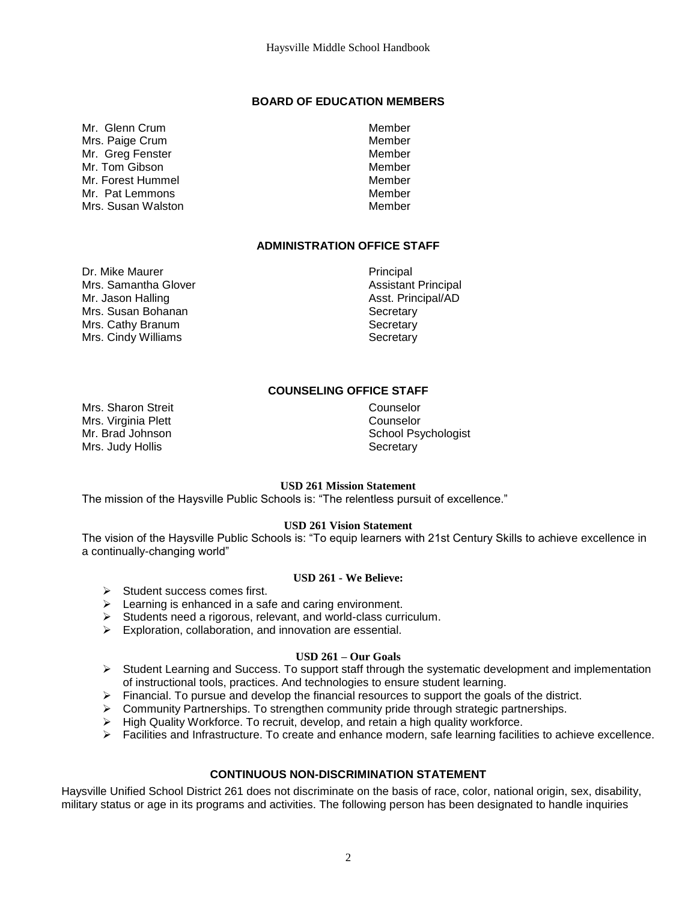#### **BOARD OF EDUCATION MEMBERS**

<span id="page-4-0"></span>Mr. Glenn Crum and the control of the Member Mrs. Paige Crum and the contract of the Member Mr. Greg Fenster Member Mr. Tom Gibson Member Mr. Forest Hummel **Member** Member Mr. Pat Lemmons (Mr. Pat Lemmons ) and Member (Mrs. Susan Walshop Member ) and Member (Mrs. Susan Member ) and Member (Mrs. Susan Member ) and Member (Mrs. Susan Member ) and Member (Mrs. Susan Member ) and Member (Mrs. Su Mrs. Susan Walston

#### **ADMINISTRATION OFFICE STAFF**

<span id="page-4-1"></span>Dr. Mike Maurer **Principal** Mrs. Samantha Glover **Assistant Principal** Mr. Jason Halling Asst. Principal/AD Mrs. Susan Bohanan Secretary Secretary Mrs. Cathy Branum Secretary Secretary Mrs. Cindy Williams Secretary

#### **COUNSELING OFFICE STAFF**

Mrs. Sharon Streit Counselor Mrs. Virginia Plett **Counselor** Mrs. Judy Hollis **Secretary** 

# <span id="page-4-2"></span>Mr. Brad Johnson School Psychologist

#### **USD 261 Mission Statement**

<span id="page-4-3"></span>The mission of the Haysville Public Schools is: "The relentless pursuit of excellence."

#### **USD 261 Vision Statement**

<span id="page-4-5"></span><span id="page-4-4"></span>The vision of the Haysville Public Schools is: "To equip learners with 21st Century Skills to achieve excellence in a continually-changing world"

#### **USD 261 - We Believe:**

- $\triangleright$  Student success comes first.
- $\triangleright$  Learning is enhanced in a safe and caring environment.
- $\triangleright$  Students need a rigorous, relevant, and world-class curriculum.
- $\triangleright$  Exploration, collaboration, and innovation are essential.

#### **USD 261 – Our Goals**

- <span id="page-4-6"></span> $\triangleright$  Student Learning and Success. To support staff through the systematic development and implementation of instructional tools, practices. And technologies to ensure student learning.
- $\triangleright$  Financial. To pursue and develop the financial resources to support the goals of the district.
- Community Partnerships. To strengthen community pride through strategic partnerships.
- $\triangleright$  High Quality Workforce. To recruit, develop, and retain a high quality workforce.
- $\triangleright$  Facilities and Infrastructure. To create and enhance modern, safe learning facilities to achieve excellence.

#### **CONTINUOUS NON-DISCRIMINATION STATEMENT**

<span id="page-4-7"></span>Haysville Unified School District 261 does not discriminate on the basis of race, color, national origin, sex, disability, military status or age in its programs and activities. The following person has been designated to handle inquiries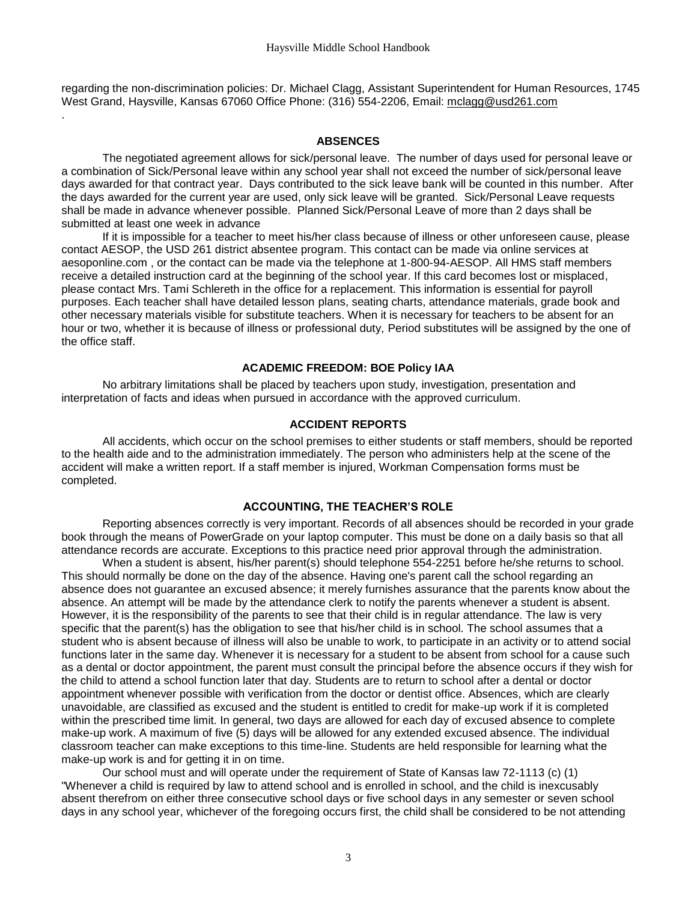regarding the non-discrimination policies: Dr. Michael Clagg, Assistant Superintendent for Human Resources, 1745 West Grand, Haysville, Kansas 67060 Office Phone: (316) 554-2206, Email: [mclagg@usd261.com](mailto:mclagg@usd261.com)

#### **ABSENCES**

<span id="page-5-0"></span>.

The negotiated agreement allows for sick/personal leave. The number of days used for personal leave or a combination of Sick/Personal leave within any school year shall not exceed the number of sick/personal leave days awarded for that contract year. Days contributed to the sick leave bank will be counted in this number. After the days awarded for the current year are used, only sick leave will be granted. Sick/Personal Leave requests shall be made in advance whenever possible. Planned Sick/Personal Leave of more than 2 days shall be submitted at least one week in advance

If it is impossible for a teacher to meet his/her class because of illness or other unforeseen cause, please contact AESOP, the USD 261 district absentee program. This contact can be made via online services at aesoponline.com , or the contact can be made via the telephone at 1-800-94-AESOP. All HMS staff members receive a detailed instruction card at the beginning of the school year. If this card becomes lost or misplaced, please contact Mrs. Tami Schlereth in the office for a replacement. This information is essential for payroll purposes. Each teacher shall have detailed lesson plans, seating charts, attendance materials, grade book and other necessary materials visible for substitute teachers. When it is necessary for teachers to be absent for an hour or two, whether it is because of illness or professional duty, Period substitutes will be assigned by the one of the office staff.

#### **ACADEMIC FREEDOM: BOE Policy IAA**

<span id="page-5-2"></span><span id="page-5-1"></span>No arbitrary limitations shall be placed by teachers upon study, investigation, presentation and interpretation of facts and ideas when pursued in accordance with the approved curriculum.

#### **ACCIDENT REPORTS**

All accidents, which occur on the school premises to either students or staff members, should be reported to the health aide and to the administration immediately. The person who administers help at the scene of the accident will make a written report. If a staff member is injured, Workman Compensation forms must be completed.

#### **ACCOUNTING, THE TEACHER'S ROLE**

<span id="page-5-3"></span>Reporting absences correctly is very important. Records of all absences should be recorded in your grade book through the means of PowerGrade on your laptop computer. This must be done on a daily basis so that all attendance records are accurate. Exceptions to this practice need prior approval through the administration.

When a student is absent, his/her parent(s) should telephone 554-2251 before he/she returns to school. This should normally be done on the day of the absence. Having one's parent call the school regarding an absence does not guarantee an excused absence; it merely furnishes assurance that the parents know about the absence. An attempt will be made by the attendance clerk to notify the parents whenever a student is absent. However, it is the responsibility of the parents to see that their child is in regular attendance. The law is very specific that the parent(s) has the obligation to see that his/her child is in school. The school assumes that a student who is absent because of illness will also be unable to work, to participate in an activity or to attend social functions later in the same day. Whenever it is necessary for a student to be absent from school for a cause such as a dental or doctor appointment, the parent must consult the principal before the absence occurs if they wish for the child to attend a school function later that day. Students are to return to school after a dental or doctor appointment whenever possible with verification from the doctor or dentist office. Absences, which are clearly unavoidable, are classified as excused and the student is entitled to credit for make-up work if it is completed within the prescribed time limit. In general, two days are allowed for each day of excused absence to complete make-up work. A maximum of five (5) days will be allowed for any extended excused absence. The individual classroom teacher can make exceptions to this time-line. Students are held responsible for learning what the make-up work is and for getting it in on time.

Our school must and will operate under the requirement of State of Kansas law 72-1113 (c) (1) "Whenever a child is required by law to attend school and is enrolled in school, and the child is inexcusably absent therefrom on either three consecutive school days or five school days in any semester or seven school days in any school year, whichever of the foregoing occurs first, the child shall be considered to be not attending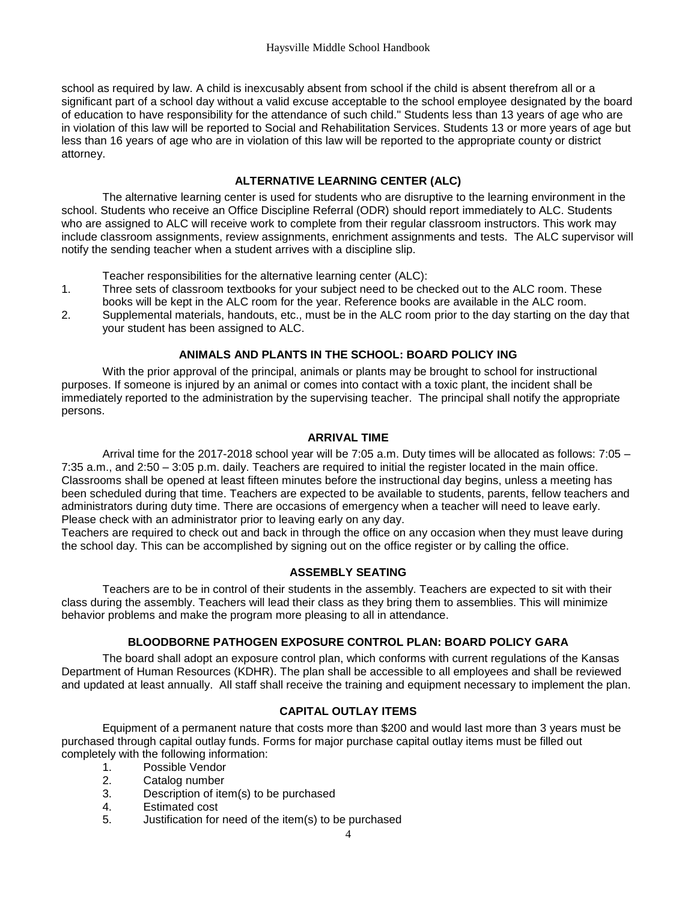school as required by law. A child is inexcusably absent from school if the child is absent therefrom all or a significant part of a school day without a valid excuse acceptable to the school employee designated by the board of education to have responsibility for the attendance of such child." Students less than 13 years of age who are in violation of this law will be reported to Social and Rehabilitation Services. Students 13 or more years of age but less than 16 years of age who are in violation of this law will be reported to the appropriate county or district attorney.

#### **ALTERNATIVE LEARNING CENTER (ALC)**

<span id="page-6-0"></span>The alternative learning center is used for students who are disruptive to the learning environment in the school. Students who receive an Office Discipline Referral (ODR) should report immediately to ALC. Students who are assigned to ALC will receive work to complete from their regular classroom instructors. This work may include classroom assignments, review assignments, enrichment assignments and tests. The ALC supervisor will notify the sending teacher when a student arrives with a discipline slip.

Teacher responsibilities for the alternative learning center (ALC):

- 1. Three sets of classroom textbooks for your subject need to be checked out to the ALC room. These books will be kept in the ALC room for the year. Reference books are available in the ALC room.
- <span id="page-6-1"></span>2. Supplemental materials, handouts, etc., must be in the ALC room prior to the day starting on the day that your student has been assigned to ALC.

#### **ANIMALS AND PLANTS IN THE SCHOOL: BOARD POLICY ING**

With the prior approval of the principal, animals or plants may be brought to school for instructional purposes. If someone is injured by an animal or comes into contact with a toxic plant, the incident shall be immediately reported to the administration by the supervising teacher. The principal shall notify the appropriate persons.

#### **ARRIVAL TIME**

<span id="page-6-2"></span>Arrival time for the 2017-2018 school year will be 7:05 a.m. Duty times will be allocated as follows: 7:05 – 7:35 a.m., and 2:50 – 3:05 p.m. daily. Teachers are required to initial the register located in the main office. Classrooms shall be opened at least fifteen minutes before the instructional day begins, unless a meeting has been scheduled during that time. Teachers are expected to be available to students, parents, fellow teachers and administrators during duty time. There are occasions of emergency when a teacher will need to leave early. Please check with an administrator prior to leaving early on any day.

<span id="page-6-3"></span>Teachers are required to check out and back in through the office on any occasion when they must leave during the school day. This can be accomplished by signing out on the office register or by calling the office.

#### **ASSEMBLY SEATING**

Teachers are to be in control of their students in the assembly. Teachers are expected to sit with their class during the assembly. Teachers will lead their class as they bring them to assemblies. This will minimize behavior problems and make the program more pleasing to all in attendance.

### **BLOODBORNE PATHOGEN EXPOSURE CONTROL PLAN: BOARD POLICY GARA**

<span id="page-6-4"></span>The board shall adopt an exposure control plan, which conforms with current regulations of the Kansas Department of Human Resources (KDHR). The plan shall be accessible to all employees and shall be reviewed and updated at least annually. All staff shall receive the training and equipment necessary to implement the plan.

### **CAPITAL OUTLAY ITEMS**

<span id="page-6-5"></span>Equipment of a permanent nature that costs more than \$200 and would last more than 3 years must be purchased through capital outlay funds. Forms for major purchase capital outlay items must be filled out completely with the following information:

- 1. Possible Vendor
- 2. Catalog number
- 3. Description of item(s) to be purchased
- 4. Estimated cost
- 5. Justification for need of the item(s) to be purchased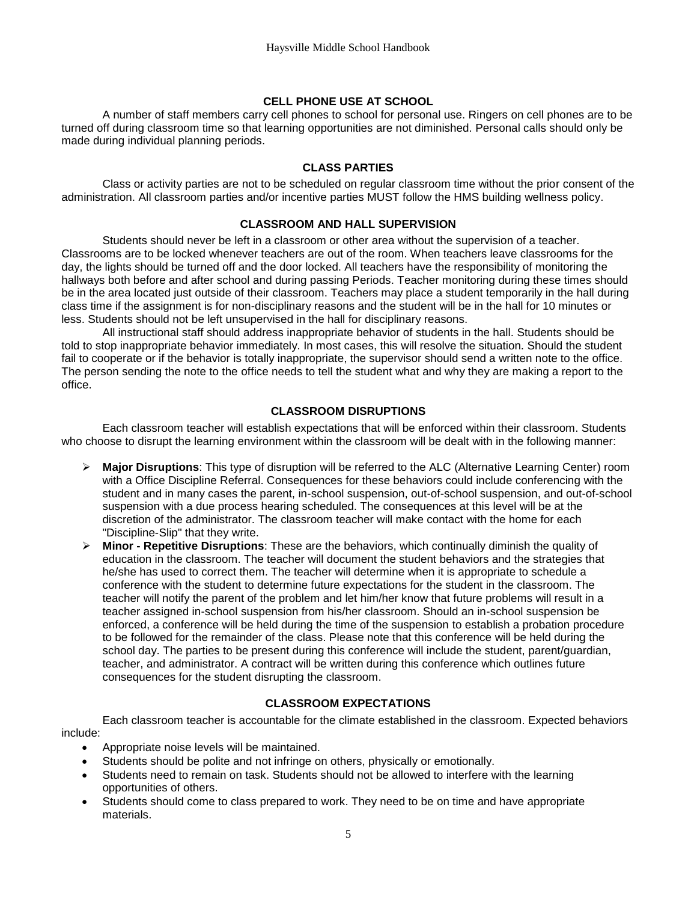#### **CELL PHONE USE AT SCHOOL**

A number of staff members carry cell phones to school for personal use. Ringers on cell phones are to be turned off during classroom time so that learning opportunities are not diminished. Personal calls should only be made during individual planning periods.

#### **CLASS PARTIES**

<span id="page-7-1"></span><span id="page-7-0"></span>Class or activity parties are not to be scheduled on regular classroom time without the prior consent of the administration. All classroom parties and/or incentive parties MUST follow the HMS building wellness policy.

#### **CLASSROOM AND HALL SUPERVISION**

Students should never be left in a classroom or other area without the supervision of a teacher. Classrooms are to be locked whenever teachers are out of the room. When teachers leave classrooms for the day, the lights should be turned off and the door locked. All teachers have the responsibility of monitoring the hallways both before and after school and during passing Periods. Teacher monitoring during these times should be in the area located just outside of their classroom. Teachers may place a student temporarily in the hall during class time if the assignment is for non-disciplinary reasons and the student will be in the hall for 10 minutes or less. Students should not be left unsupervised in the hall for disciplinary reasons.

All instructional staff should address inappropriate behavior of students in the hall. Students should be told to stop inappropriate behavior immediately. In most cases, this will resolve the situation. Should the student fail to cooperate or if the behavior is totally inappropriate, the supervisor should send a written note to the office. The person sending the note to the office needs to tell the student what and why they are making a report to the office.

#### **CLASSROOM DISRUPTIONS**

<span id="page-7-2"></span>Each classroom teacher will establish expectations that will be enforced within their classroom. Students who choose to disrupt the learning environment within the classroom will be dealt with in the following manner:

- **Major Disruptions**: This type of disruption will be referred to the ALC (Alternative Learning Center) room with a Office Discipline Referral. Consequences for these behaviors could include conferencing with the student and in many cases the parent, in-school suspension, out-of-school suspension, and out-of-school suspension with a due process hearing scheduled. The consequences at this level will be at the discretion of the administrator. The classroom teacher will make contact with the home for each "Discipline-Slip" that they write.
- **Minor - Repetitive Disruptions**: These are the behaviors, which continually diminish the quality of education in the classroom. The teacher will document the student behaviors and the strategies that he/she has used to correct them. The teacher will determine when it is appropriate to schedule a conference with the student to determine future expectations for the student in the classroom. The teacher will notify the parent of the problem and let him/her know that future problems will result in a teacher assigned in-school suspension from his/her classroom. Should an in-school suspension be enforced, a conference will be held during the time of the suspension to establish a probation procedure to be followed for the remainder of the class. Please note that this conference will be held during the school day. The parties to be present during this conference will include the student, parent/guardian, teacher, and administrator. A contract will be written during this conference which outlines future consequences for the student disrupting the classroom.

#### **CLASSROOM EXPECTATIONS**

<span id="page-7-3"></span>Each classroom teacher is accountable for the climate established in the classroom. Expected behaviors include:

- Appropriate noise levels will be maintained.
- Students should be polite and not infringe on others, physically or emotionally.
- Students need to remain on task. Students should not be allowed to interfere with the learning opportunities of others.
- Students should come to class prepared to work. They need to be on time and have appropriate materials.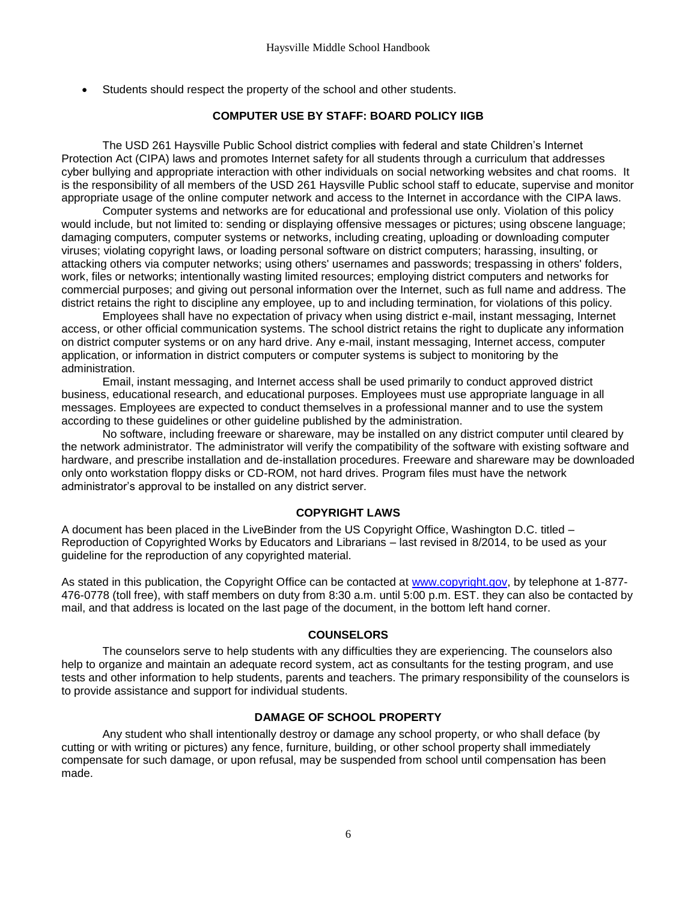<span id="page-8-0"></span>Students should respect the property of the school and other students.

#### **COMPUTER USE BY STAFF: BOARD POLICY IIGB**

The USD 261 Haysville Public School district complies with federal and state Children's Internet Protection Act (CIPA) laws and promotes Internet safety for all students through a curriculum that addresses cyber bullying and appropriate interaction with other individuals on social networking websites and chat rooms. It is the responsibility of all members of the USD 261 Haysville Public school staff to educate, supervise and monitor appropriate usage of the online computer network and access to the Internet in accordance with the CIPA laws.

Computer systems and networks are for educational and professional use only. Violation of this policy would include, but not limited to: sending or displaying offensive messages or pictures; using obscene language; damaging computers, computer systems or networks, including creating, uploading or downloading computer viruses; violating copyright laws, or loading personal software on district computers; harassing, insulting, or attacking others via computer networks; using others' usernames and passwords; trespassing in others' folders, work, files or networks; intentionally wasting limited resources; employing district computers and networks for commercial purposes; and giving out personal information over the Internet, such as full name and address. The district retains the right to discipline any employee, up to and including termination, for violations of this policy.

Employees shall have no expectation of privacy when using district e-mail, instant messaging, Internet access, or other official communication systems. The school district retains the right to duplicate any information on district computer systems or on any hard drive. Any e-mail, instant messaging, Internet access, computer application, or information in district computers or computer systems is subject to monitoring by the administration.

Email, instant messaging, and Internet access shall be used primarily to conduct approved district business, educational research, and educational purposes. Employees must use appropriate language in all messages. Employees are expected to conduct themselves in a professional manner and to use the system according to these guidelines or other guideline published by the administration.

No software, including freeware or shareware, may be installed on any district computer until cleared by the network administrator. The administrator will verify the compatibility of the software with existing software and hardware, and prescribe installation and de-installation procedures. Freeware and shareware may be downloaded only onto workstation floppy disks or CD-ROM, not hard drives. Program files must have the network administrator's approval to be installed on any district server.

#### **COPYRIGHT LAWS**

<span id="page-8-1"></span>A document has been placed in the LiveBinder from the US Copyright Office, Washington D.C. titled – Reproduction of Copyrighted Works by Educators and Librarians – last revised in 8/2014, to be used as your guideline for the reproduction of any copyrighted material.

As stated in this publication, the Copyright Office can be contacted at [www.copyright.gov,](http://www.copyright.gov/) by telephone at 1-877- 476-0778 (toll free), with staff members on duty from 8:30 a.m. until 5:00 p.m. EST. they can also be contacted by mail, and that address is located on the last page of the document, in the bottom left hand corner.

#### **COUNSELORS**

<span id="page-8-2"></span>The counselors serve to help students with any difficulties they are experiencing. The counselors also help to organize and maintain an adequate record system, act as consultants for the testing program, and use tests and other information to help students, parents and teachers. The primary responsibility of the counselors is to provide assistance and support for individual students.

#### **DAMAGE OF SCHOOL PROPERTY**

<span id="page-8-3"></span>Any student who shall intentionally destroy or damage any school property, or who shall deface (by cutting or with writing or pictures) any fence, furniture, building, or other school property shall immediately compensate for such damage, or upon refusal, may be suspended from school until compensation has been made.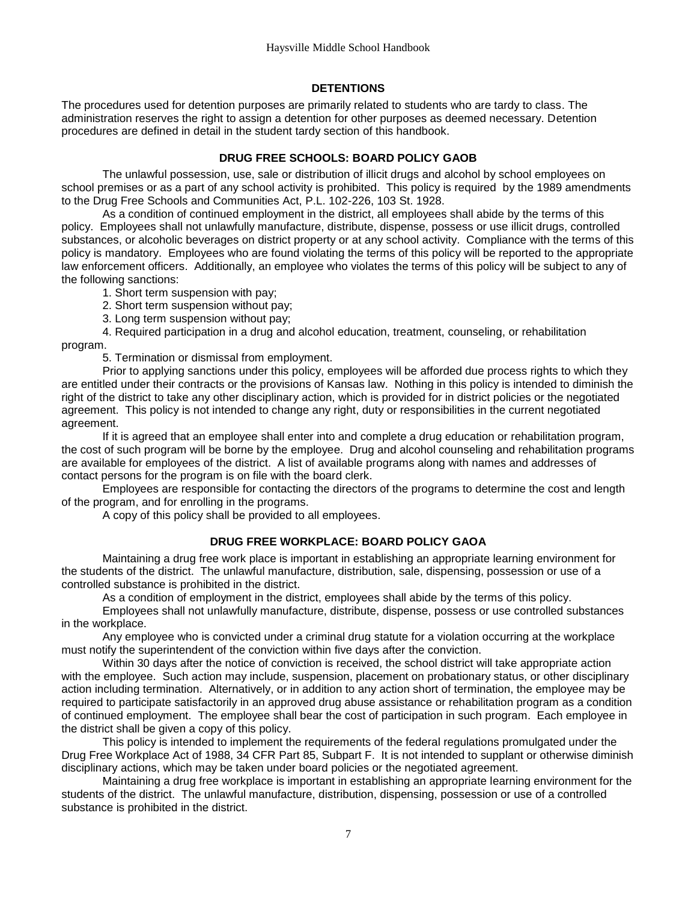#### **DETENTIONS**

<span id="page-9-0"></span>The procedures used for detention purposes are primarily related to students who are tardy to class. The administration reserves the right to assign a detention for other purposes as deemed necessary. Detention procedures are defined in detail in the student tardy section of this handbook.

#### **DRUG FREE SCHOOLS: BOARD POLICY GAOB**

<span id="page-9-1"></span>The unlawful possession, use, sale or distribution of illicit drugs and alcohol by school employees on school premises or as a part of any school activity is prohibited. This policy is required by the 1989 amendments to the Drug Free Schools and Communities Act, P.L. 102-226, 103 St. 1928.

As a condition of continued employment in the district, all employees shall abide by the terms of this policy. Employees shall not unlawfully manufacture, distribute, dispense, possess or use illicit drugs, controlled substances, or alcoholic beverages on district property or at any school activity. Compliance with the terms of this policy is mandatory. Employees who are found violating the terms of this policy will be reported to the appropriate law enforcement officers. Additionally, an employee who violates the terms of this policy will be subject to any of the following sanctions:

1. Short term suspension with pay;

2. Short term suspension without pay;

3. Long term suspension without pay;

4. Required participation in a drug and alcohol education, treatment, counseling, or rehabilitation program.

5. Termination or dismissal from employment.

Prior to applying sanctions under this policy, employees will be afforded due process rights to which they are entitled under their contracts or the provisions of Kansas law. Nothing in this policy is intended to diminish the right of the district to take any other disciplinary action, which is provided for in district policies or the negotiated agreement. This policy is not intended to change any right, duty or responsibilities in the current negotiated agreement.

If it is agreed that an employee shall enter into and complete a drug education or rehabilitation program, the cost of such program will be borne by the employee. Drug and alcohol counseling and rehabilitation programs are available for employees of the district. A list of available programs along with names and addresses of contact persons for the program is on file with the board clerk.

Employees are responsible for contacting the directors of the programs to determine the cost and length of the program, and for enrolling in the programs.

A copy of this policy shall be provided to all employees.

#### **DRUG FREE WORKPLACE: BOARD POLICY GAOA**

<span id="page-9-2"></span>Maintaining a drug free work place is important in establishing an appropriate learning environment for the students of the district. The unlawful manufacture, distribution, sale, dispensing, possession or use of a controlled substance is prohibited in the district.

As a condition of employment in the district, employees shall abide by the terms of this policy.

Employees shall not unlawfully manufacture, distribute, dispense, possess or use controlled substances in the workplace.

Any employee who is convicted under a criminal drug statute for a violation occurring at the workplace must notify the superintendent of the conviction within five days after the conviction.

Within 30 days after the notice of conviction is received, the school district will take appropriate action with the employee. Such action may include, suspension, placement on probationary status, or other disciplinary action including termination. Alternatively, or in addition to any action short of termination, the employee may be required to participate satisfactorily in an approved drug abuse assistance or rehabilitation program as a condition of continued employment. The employee shall bear the cost of participation in such program. Each employee in the district shall be given a copy of this policy.

This policy is intended to implement the requirements of the federal regulations promulgated under the Drug Free Workplace Act of 1988, 34 CFR Part 85, Subpart F. It is not intended to supplant or otherwise diminish disciplinary actions, which may be taken under board policies or the negotiated agreement.

Maintaining a drug free workplace is important in establishing an appropriate learning environment for the students of the district. The unlawful manufacture, distribution, dispensing, possession or use of a controlled substance is prohibited in the district.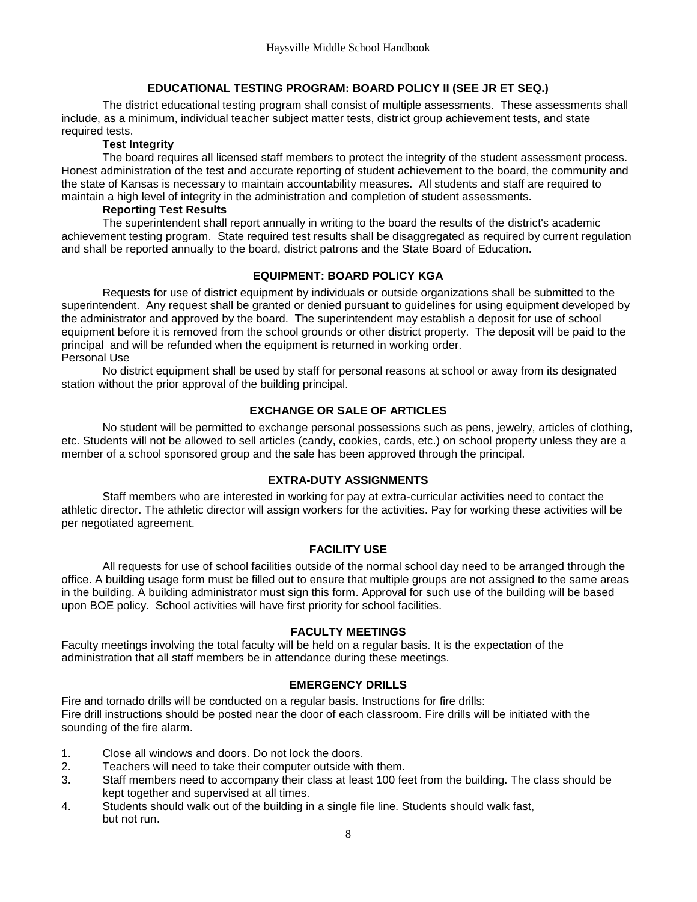#### **EDUCATIONAL TESTING PROGRAM: BOARD POLICY II (SEE JR ET SEQ.)**

<span id="page-10-0"></span>The district educational testing program shall consist of multiple assessments. These assessments shall include, as a minimum, individual teacher subject matter tests, district group achievement tests, and state required tests.

#### **Test Integrity**

The board requires all licensed staff members to protect the integrity of the student assessment process. Honest administration of the test and accurate reporting of student achievement to the board, the community and the state of Kansas is necessary to maintain accountability measures. All students and staff are required to maintain a high level of integrity in the administration and completion of student assessments.

#### **Reporting Test Results**

The superintendent shall report annually in writing to the board the results of the district's academic achievement testing program. State required test results shall be disaggregated as required by current regulation and shall be reported annually to the board, district patrons and the State Board of Education.

#### **EQUIPMENT: BOARD POLICY KGA**

<span id="page-10-1"></span>Requests for use of district equipment by individuals or outside organizations shall be submitted to the superintendent. Any request shall be granted or denied pursuant to guidelines for using equipment developed by the administrator and approved by the board. The superintendent may establish a deposit for use of school equipment before it is removed from the school grounds or other district property. The deposit will be paid to the principal and will be refunded when the equipment is returned in working order. Personal Use

<span id="page-10-2"></span>No district equipment shall be used by staff for personal reasons at school or away from its designated station without the prior approval of the building principal.

#### **EXCHANGE OR SALE OF ARTICLES**

No student will be permitted to exchange personal possessions such as pens, jewelry, articles of clothing, etc. Students will not be allowed to sell articles (candy, cookies, cards, etc.) on school property unless they are a member of a school sponsored group and the sale has been approved through the principal.

#### **EXTRA-DUTY ASSIGNMENTS**

<span id="page-10-3"></span>Staff members who are interested in working for pay at extra-curricular activities need to contact the athletic director. The athletic director will assign workers for the activities. Pay for working these activities will be per negotiated agreement.

#### **FACILITY USE**

<span id="page-10-4"></span>All requests for use of school facilities outside of the normal school day need to be arranged through the office. A building usage form must be filled out to ensure that multiple groups are not assigned to the same areas in the building. A building administrator must sign this form. Approval for such use of the building will be based upon BOE policy. School activities will have first priority for school facilities.

#### **FACULTY MEETINGS**

<span id="page-10-5"></span>Faculty meetings involving the total faculty will be held on a regular basis. It is the expectation of the administration that all staff members be in attendance during these meetings.

#### **EMERGENCY DRILLS**

Fire and tornado drills will be conducted on a regular basis. Instructions for fire drills: Fire drill instructions should be posted near the door of each classroom. Fire drills will be initiated with the sounding of the fire alarm.

- 1. Close all windows and doors. Do not lock the doors.
- 2. Teachers will need to take their computer outside with them.
- 3. Staff members need to accompany their class at least 100 feet from the building. The class should be kept together and supervised at all times.
- 4. Students should walk out of the building in a single file line. Students should walk fast, but not run.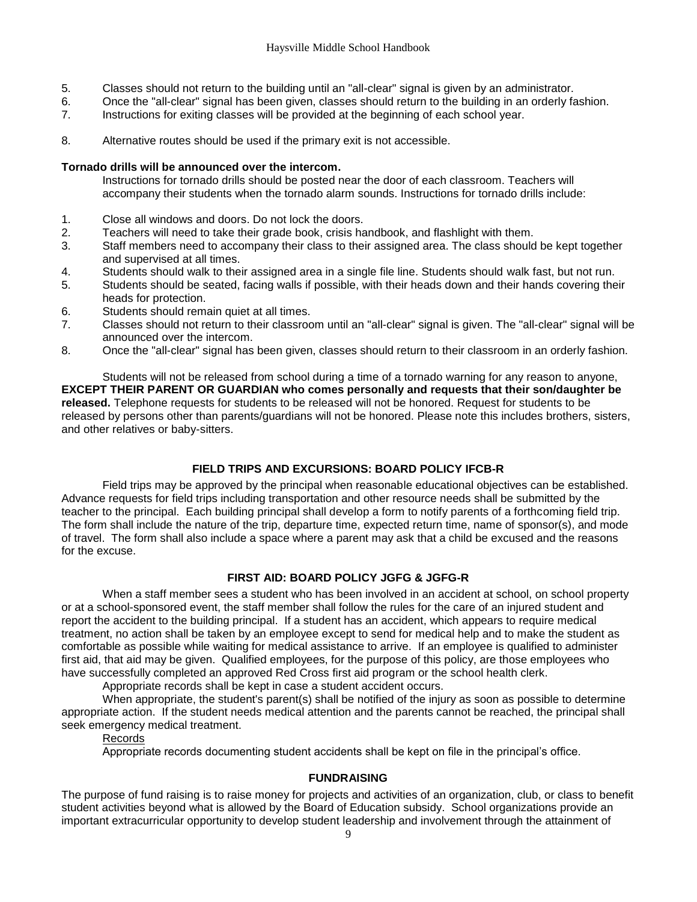- 5. Classes should not return to the building until an "all-clear" signal is given by an administrator.
- 6. Once the "all-clear" signal has been given, classes should return to the building in an orderly fashion.
- 7. Instructions for exiting classes will be provided at the beginning of each school year.
- 8. Alternative routes should be used if the primary exit is not accessible.

#### <span id="page-11-0"></span>**Tornado drills will be announced over the intercom.**

- Instructions for tornado drills should be posted near the door of each classroom. Teachers will accompany their students when the tornado alarm sounds. Instructions for tornado drills include:
- 1. Close all windows and doors. Do not lock the doors.
- 2. Teachers will need to take their grade book, crisis handbook, and flashlight with them.
- 3. Staff members need to accompany their class to their assigned area. The class should be kept together and supervised at all times.
- 4. Students should walk to their assigned area in a single file line. Students should walk fast, but not run.
- 5. Students should be seated, facing walls if possible, with their heads down and their hands covering their heads for protection.
- 6. Students should remain quiet at all times.
- 7. Classes should not return to their classroom until an "all-clear" signal is given. The "all-clear" signal will be announced over the intercom.
- 8. Once the "all-clear" signal has been given, classes should return to their classroom in an orderly fashion.

Students will not be released from school during a time of a tornado warning for any reason to anyone, **EXCEPT THEIR PARENT OR GUARDIAN who comes personally and requests that their son/daughter be released.** Telephone requests for students to be released will not be honored. Request for students to be released by persons other than parents/guardians will not be honored. Please note this includes brothers, sisters, and other relatives or baby-sitters.

### **FIELD TRIPS AND EXCURSIONS: BOARD POLICY IFCB-R**

<span id="page-11-1"></span>Field trips may be approved by the principal when reasonable educational objectives can be established. Advance requests for field trips including transportation and other resource needs shall be submitted by the teacher to the principal. Each building principal shall develop a form to notify parents of a forthcoming field trip. The form shall include the nature of the trip, departure time, expected return time, name of sponsor(s), and mode of travel. The form shall also include a space where a parent may ask that a child be excused and the reasons for the excuse.

#### **FIRST AID: BOARD POLICY JGFG & JGFG-R**

<span id="page-11-2"></span>When a staff member sees a student who has been involved in an accident at school, on school property or at a school-sponsored event, the staff member shall follow the rules for the care of an injured student and report the accident to the building principal. If a student has an accident, which appears to require medical treatment, no action shall be taken by an employee except to send for medical help and to make the student as comfortable as possible while waiting for medical assistance to arrive. If an employee is qualified to administer first aid, that aid may be given. Qualified employees, for the purpose of this policy, are those employees who have successfully completed an approved Red Cross first aid program or the school health clerk.

Appropriate records shall be kept in case a student accident occurs.

When appropriate, the student's parent(s) shall be notified of the injury as soon as possible to determine appropriate action. If the student needs medical attention and the parents cannot be reached, the principal shall seek emergency medical treatment.

#### Records

Appropriate records documenting student accidents shall be kept on file in the principal's office.

#### **FUNDRAISING**

<span id="page-11-3"></span>The purpose of fund raising is to raise money for projects and activities of an organization, club, or class to benefit student activities beyond what is allowed by the Board of Education subsidy. School organizations provide an important extracurricular opportunity to develop student leadership and involvement through the attainment of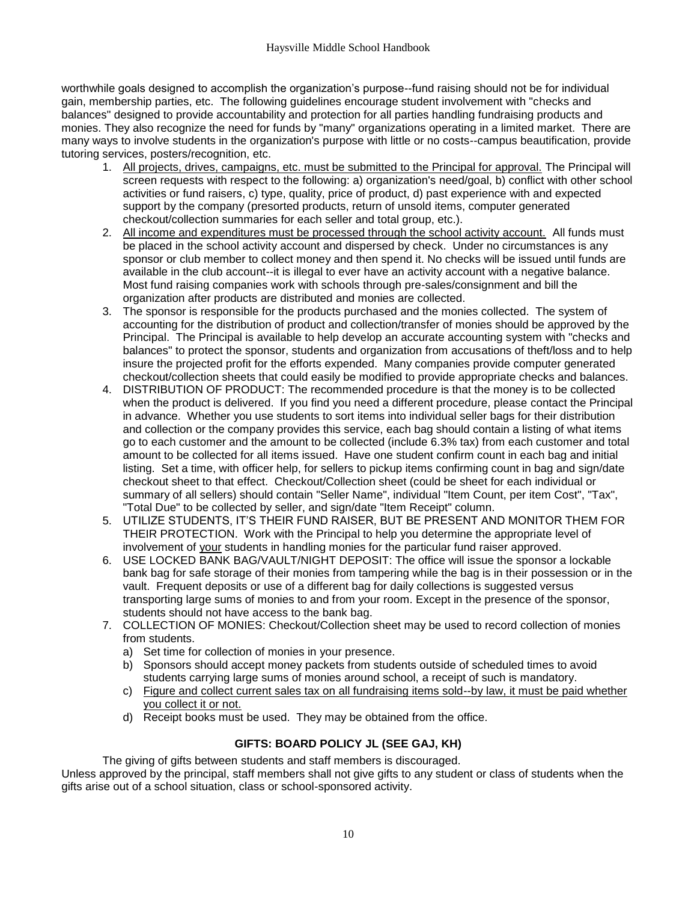worthwhile goals designed to accomplish the organization's purpose--fund raising should not be for individual gain, membership parties, etc. The following guidelines encourage student involvement with "checks and balances" designed to provide accountability and protection for all parties handling fundraising products and monies. They also recognize the need for funds by "many" organizations operating in a limited market. There are many ways to involve students in the organization's purpose with little or no costs--campus beautification, provide tutoring services, posters/recognition, etc.

- 1. All projects, drives, campaigns, etc. must be submitted to the Principal for approval. The Principal will screen requests with respect to the following: a) organization's need/goal, b) conflict with other school activities or fund raisers, c) type, quality, price of product, d) past experience with and expected support by the company (presorted products, return of unsold items, computer generated checkout/collection summaries for each seller and total group, etc.).
- 2. All income and expenditures must be processed through the school activity account. All funds must be placed in the school activity account and dispersed by check. Under no circumstances is any sponsor or club member to collect money and then spend it. No checks will be issued until funds are available in the club account--it is illegal to ever have an activity account with a negative balance. Most fund raising companies work with schools through pre-sales/consignment and bill the organization after products are distributed and monies are collected.
- 3. The sponsor is responsible for the products purchased and the monies collected. The system of accounting for the distribution of product and collection/transfer of monies should be approved by the Principal. The Principal is available to help develop an accurate accounting system with "checks and balances" to protect the sponsor, students and organization from accusations of theft/loss and to help insure the projected profit for the efforts expended. Many companies provide computer generated checkout/collection sheets that could easily be modified to provide appropriate checks and balances.
- 4. DISTRIBUTION OF PRODUCT: The recommended procedure is that the money is to be collected when the product is delivered. If you find you need a different procedure, please contact the Principal in advance. Whether you use students to sort items into individual seller bags for their distribution and collection or the company provides this service, each bag should contain a listing of what items go to each customer and the amount to be collected (include 6.3% tax) from each customer and total amount to be collected for all items issued. Have one student confirm count in each bag and initial listing. Set a time, with officer help, for sellers to pickup items confirming count in bag and sign/date checkout sheet to that effect. Checkout/Collection sheet (could be sheet for each individual or summary of all sellers) should contain "Seller Name", individual "Item Count, per item Cost", "Tax", "Total Due" to be collected by seller, and sign/date "Item Receipt" column.
- 5. UTILIZE STUDENTS, IT'S THEIR FUND RAISER, BUT BE PRESENT AND MONITOR THEM FOR THEIR PROTECTION. Work with the Principal to help you determine the appropriate level of involvement of your students in handling monies for the particular fund raiser approved.
- 6. USE LOCKED BANK BAG/VAULT/NIGHT DEPOSIT: The office will issue the sponsor a lockable bank bag for safe storage of their monies from tampering while the bag is in their possession or in the vault. Frequent deposits or use of a different bag for daily collections is suggested versus transporting large sums of monies to and from your room. Except in the presence of the sponsor, students should not have access to the bank bag.
- 7. COLLECTION OF MONIES: Checkout/Collection sheet may be used to record collection of monies from students.
	- a) Set time for collection of monies in your presence.
	- b) Sponsors should accept money packets from students outside of scheduled times to avoid students carrying large sums of monies around school, a receipt of such is mandatory.
	- c) Figure and collect current sales tax on all fundraising items sold--by law, it must be paid whether you collect it or not.
	- d) Receipt books must be used. They may be obtained from the office.

### **GIFTS: BOARD POLICY JL (SEE GAJ, KH)**

The giving of gifts between students and staff members is discouraged.

<span id="page-12-0"></span>Unless approved by the principal, staff members shall not give gifts to any student or class of students when the gifts arise out of a school situation, class or school-sponsored activity.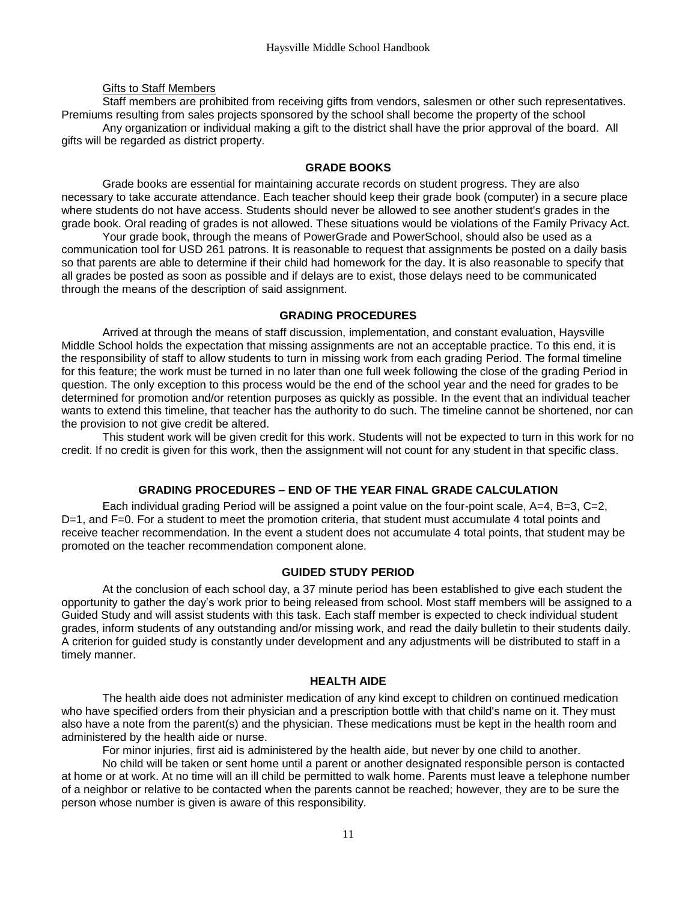#### Gifts to Staff Members

Staff members are prohibited from receiving gifts from vendors, salesmen or other such representatives. Premiums resulting from sales projects sponsored by the school shall become the property of the school Any organization or individual making a gift to the district shall have the prior approval of the board. All gifts will be regarded as district property.

#### **GRADE BOOKS**

<span id="page-13-0"></span>Grade books are essential for maintaining accurate records on student progress. They are also necessary to take accurate attendance. Each teacher should keep their grade book (computer) in a secure place where students do not have access. Students should never be allowed to see another student's grades in the grade book. Oral reading of grades is not allowed. These situations would be violations of the Family Privacy Act.

Your grade book, through the means of PowerGrade and PowerSchool, should also be used as a communication tool for USD 261 patrons. It is reasonable to request that assignments be posted on a daily basis so that parents are able to determine if their child had homework for the day. It is also reasonable to specify that all grades be posted as soon as possible and if delays are to exist, those delays need to be communicated through the means of the description of said assignment.

#### **GRADING PROCEDURES**

<span id="page-13-1"></span>Arrived at through the means of staff discussion, implementation, and constant evaluation, Haysville Middle School holds the expectation that missing assignments are not an acceptable practice. To this end, it is the responsibility of staff to allow students to turn in missing work from each grading Period. The formal timeline for this feature; the work must be turned in no later than one full week following the close of the grading Period in question. The only exception to this process would be the end of the school year and the need for grades to be determined for promotion and/or retention purposes as quickly as possible. In the event that an individual teacher wants to extend this timeline, that teacher has the authority to do such. The timeline cannot be shortened, nor can the provision to not give credit be altered.

This student work will be given credit for this work. Students will not be expected to turn in this work for no credit. If no credit is given for this work, then the assignment will not count for any student in that specific class.

#### **GRADING PROCEDURES – END OF THE YEAR FINAL GRADE CALCULATION**

<span id="page-13-2"></span>Each individual grading Period will be assigned a point value on the four-point scale, A=4, B=3, C=2, D=1, and F=0. For a student to meet the promotion criteria, that student must accumulate 4 total points and receive teacher recommendation. In the event a student does not accumulate 4 total points, that student may be promoted on the teacher recommendation component alone.

#### **GUIDED STUDY PERIOD**

<span id="page-13-3"></span>At the conclusion of each school day, a 37 minute period has been established to give each student the opportunity to gather the day's work prior to being released from school. Most staff members will be assigned to a Guided Study and will assist students with this task. Each staff member is expected to check individual student grades, inform students of any outstanding and/or missing work, and read the daily bulletin to their students daily. A criterion for guided study is constantly under development and any adjustments will be distributed to staff in a timely manner.

#### **HEALTH AIDE**

<span id="page-13-4"></span>The health aide does not administer medication of any kind except to children on continued medication who have specified orders from their physician and a prescription bottle with that child's name on it. They must also have a note from the parent(s) and the physician. These medications must be kept in the health room and administered by the health aide or nurse.

For minor injuries, first aid is administered by the health aide, but never by one child to another.

No child will be taken or sent home until a parent or another designated responsible person is contacted at home or at work. At no time will an ill child be permitted to walk home. Parents must leave a telephone number of a neighbor or relative to be contacted when the parents cannot be reached; however, they are to be sure the person whose number is given is aware of this responsibility.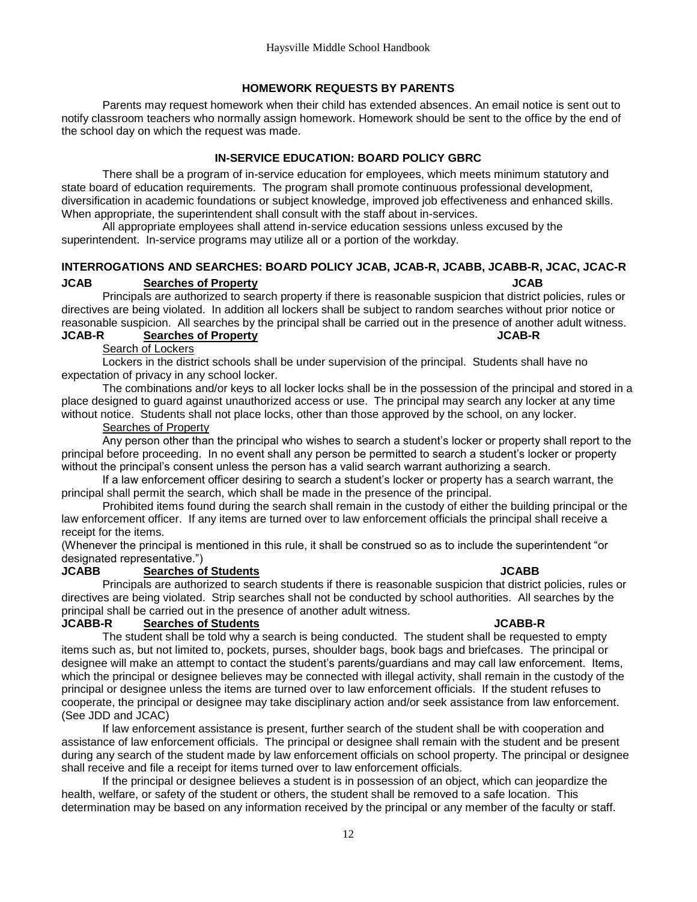#### **HOMEWORK REQUESTS BY PARENTS**

<span id="page-14-0"></span>Parents may request homework when their child has extended absences. An email notice is sent out to notify classroom teachers who normally assign homework. Homework should be sent to the office by the end of the school day on which the request was made.

#### **IN-SERVICE EDUCATION: BOARD POLICY GBRC**

<span id="page-14-1"></span>There shall be a program of in-service education for employees, which meets minimum statutory and state board of education requirements. The program shall promote continuous professional development, diversification in academic foundations or subject knowledge, improved job effectiveness and enhanced skills. When appropriate, the superintendent shall consult with the staff about in-services.

All appropriate employees shall attend in-service education sessions unless excused by the superintendent. In-service programs may utilize all or a portion of the workday.

#### <span id="page-14-2"></span>**INTERROGATIONS AND SEARCHES: BOARD POLICY JCAB, JCAB-R, JCABB, JCABB-R, JCAC, JCAC-R JCAB Searches of Property JCAB**

Principals are authorized to search property if there is reasonable suspicion that district policies, rules or directives are being violated. In addition all lockers shall be subject to random searches without prior notice or reasonable suspicion. All searches by the principal shall be carried out in the presence of another adult witness.

#### **JCAB-R Searches of Property JCAB-R**

Search of Lockers

Lockers in the district schools shall be under supervision of the principal. Students shall have no expectation of privacy in any school locker.

The combinations and/or keys to all locker locks shall be in the possession of the principal and stored in a place designed to guard against unauthorized access or use. The principal may search any locker at any time without notice. Students shall not place locks, other than those approved by the school, on any locker.

#### Searches of Property

Any person other than the principal who wishes to search a student's locker or property shall report to the principal before proceeding. In no event shall any person be permitted to search a student's locker or property without the principal's consent unless the person has a valid search warrant authorizing a search.

If a law enforcement officer desiring to search a student's locker or property has a search warrant, the principal shall permit the search, which shall be made in the presence of the principal.

Prohibited items found during the search shall remain in the custody of either the building principal or the law enforcement officer. If any items are turned over to law enforcement officials the principal shall receive a receipt for the items.

(Whenever the principal is mentioned in this rule, it shall be construed so as to include the superintendent "or designated representative.")

#### **JCABB Searches of Students JCABB**

Principals are authorized to search students if there is reasonable suspicion that district policies, rules or directives are being violated. Strip searches shall not be conducted by school authorities. All searches by the principal shall be carried out in the presence of another adult witness.

#### **JCABB-R Searches of Students JCABB-R**

The student shall be told why a search is being conducted. The student shall be requested to empty items such as, but not limited to, pockets, purses, shoulder bags, book bags and briefcases. The principal or designee will make an attempt to contact the student's parents/guardians and may call law enforcement. Items, which the principal or designee believes may be connected with illegal activity, shall remain in the custody of the principal or designee unless the items are turned over to law enforcement officials. If the student refuses to cooperate, the principal or designee may take disciplinary action and/or seek assistance from law enforcement. (See JDD and JCAC)

If law enforcement assistance is present, further search of the student shall be with cooperation and assistance of law enforcement officials. The principal or designee shall remain with the student and be present during any search of the student made by law enforcement officials on school property. The principal or designee shall receive and file a receipt for items turned over to law enforcement officials.

If the principal or designee believes a student is in possession of an object, which can jeopardize the health, welfare, or safety of the student or others, the student shall be removed to a safe location. This determination may be based on any information received by the principal or any member of the faculty or staff.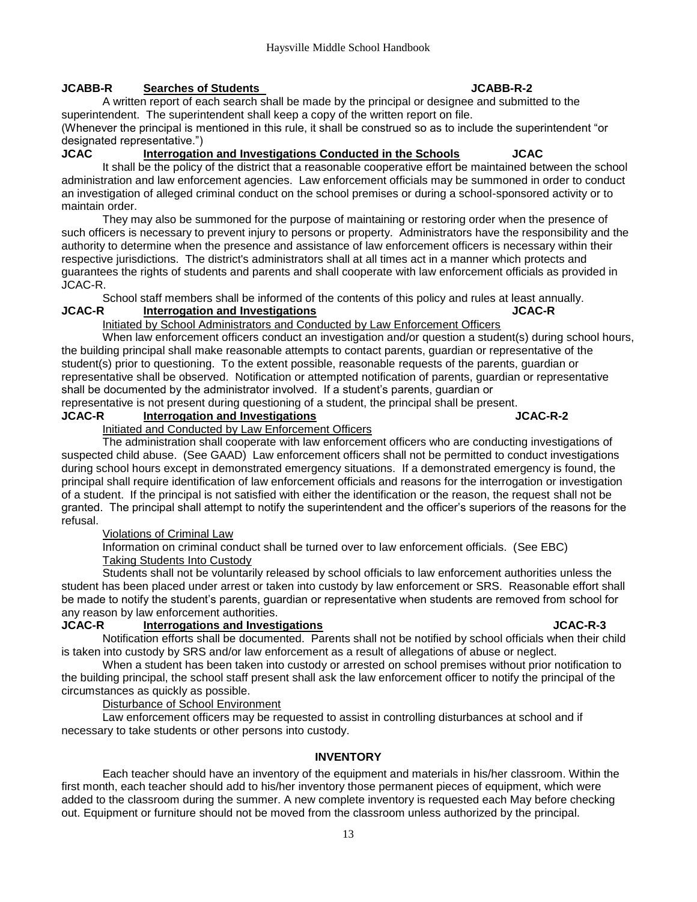#### **JCABB-R Searches of Students JCABB-R-2**

A written report of each search shall be made by the principal or designee and submitted to the superintendent. The superintendent shall keep a copy of the written report on file.

(Whenever the principal is mentioned in this rule, it shall be construed so as to include the superintendent "or designated representative.")

### **JCAC Interrogation and Investigations Conducted in the Schools JCAC**

It shall be the policy of the district that a reasonable cooperative effort be maintained between the school administration and law enforcement agencies. Law enforcement officials may be summoned in order to conduct an investigation of alleged criminal conduct on the school premises or during a school-sponsored activity or to maintain order.

They may also be summoned for the purpose of maintaining or restoring order when the presence of such officers is necessary to prevent injury to persons or property. Administrators have the responsibility and the authority to determine when the presence and assistance of law enforcement officers is necessary within their respective jurisdictions. The district's administrators shall at all times act in a manner which protects and guarantees the rights of students and parents and shall cooperate with law enforcement officials as provided in JCAC-R.

School staff members shall be informed of the contents of this policy and rules at least annually.<br>JCAC-R **Interrogation and Investigations** JUGAC-R **Interrogation and Investigations** 

#### Initiated by School Administrators and Conducted by Law Enforcement Officers

When law enforcement officers conduct an investigation and/or question a student(s) during school hours, the building principal shall make reasonable attempts to contact parents, guardian or representative of the student(s) prior to questioning. To the extent possible, reasonable requests of the parents, guardian or representative shall be observed. Notification or attempted notification of parents, guardian or representative shall be documented by the administrator involved. If a student's parents, guardian or

representative is not present during questioning of a student, the principal shall be present.

## **JCAC-R Interrogation and Investigations JCAC-R-2**

Initiated and Conducted by Law Enforcement Officers

The administration shall cooperate with law enforcement officers who are conducting investigations of suspected child abuse. (See GAAD) Law enforcement officers shall not be permitted to conduct investigations during school hours except in demonstrated emergency situations. If a demonstrated emergency is found, the principal shall require identification of law enforcement officials and reasons for the interrogation or investigation of a student. If the principal is not satisfied with either the identification or the reason, the request shall not be granted. The principal shall attempt to notify the superintendent and the officer's superiors of the reasons for the refusal.

#### Violations of Criminal Law

Information on criminal conduct shall be turned over to law enforcement officials. (See EBC) Taking Students Into Custody

Students shall not be voluntarily released by school officials to law enforcement authorities unless the student has been placed under arrest or taken into custody by law enforcement or SRS. Reasonable effort shall be made to notify the student's parents, guardian or representative when students are removed from school for any reason by law enforcement authorities.

#### **JCAC-R Interrogations and Investigations JCAC-R-3**

Notification efforts shall be documented. Parents shall not be notified by school officials when their child is taken into custody by SRS and/or law enforcement as a result of allegations of abuse or neglect.

When a student has been taken into custody or arrested on school premises without prior notification to the building principal, the school staff present shall ask the law enforcement officer to notify the principal of the circumstances as quickly as possible.

#### Disturbance of School Environment

<span id="page-15-0"></span>Law enforcement officers may be requested to assist in controlling disturbances at school and if necessary to take students or other persons into custody.

### **INVENTORY**

Each teacher should have an inventory of the equipment and materials in his/her classroom. Within the first month, each teacher should add to his/her inventory those permanent pieces of equipment, which were added to the classroom during the summer. A new complete inventory is requested each May before checking out. Equipment or furniture should not be moved from the classroom unless authorized by the principal.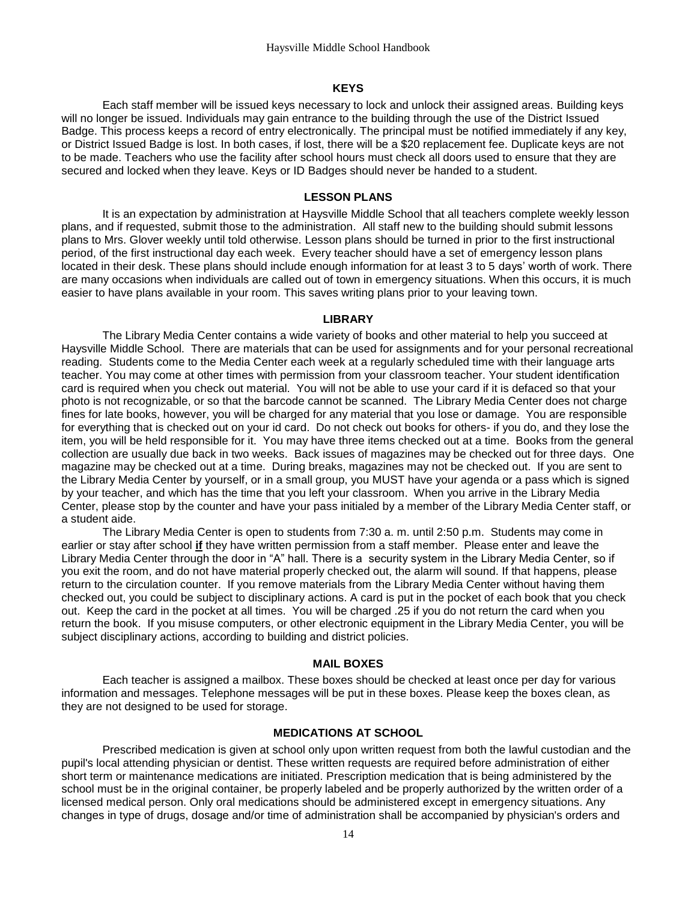#### **KEYS**

<span id="page-16-0"></span>Each staff member will be issued keys necessary to lock and unlock their assigned areas. Building keys will no longer be issued. Individuals may gain entrance to the building through the use of the District Issued Badge. This process keeps a record of entry electronically. The principal must be notified immediately if any key, or District Issued Badge is lost. In both cases, if lost, there will be a \$20 replacement fee. Duplicate keys are not to be made. Teachers who use the facility after school hours must check all doors used to ensure that they are secured and locked when they leave. Keys or ID Badges should never be handed to a student.

#### **LESSON PLANS**

<span id="page-16-1"></span>It is an expectation by administration at Haysville Middle School that all teachers complete weekly lesson plans, and if requested, submit those to the administration. All staff new to the building should submit lessons plans to Mrs. Glover weekly until told otherwise. Lesson plans should be turned in prior to the first instructional period, of the first instructional day each week. Every teacher should have a set of emergency lesson plans located in their desk. These plans should include enough information for at least 3 to 5 days' worth of work. There are many occasions when individuals are called out of town in emergency situations. When this occurs, it is much easier to have plans available in your room. This saves writing plans prior to your leaving town.

#### **LIBRARY**

<span id="page-16-2"></span>The Library Media Center contains a wide variety of books and other material to help you succeed at Haysville Middle School. There are materials that can be used for assignments and for your personal recreational reading. Students come to the Media Center each week at a regularly scheduled time with their language arts teacher. You may come at other times with permission from your classroom teacher. Your student identification card is required when you check out material. You will not be able to use your card if it is defaced so that your photo is not recognizable, or so that the barcode cannot be scanned. The Library Media Center does not charge fines for late books, however, you will be charged for any material that you lose or damage. You are responsible for everything that is checked out on your id card. Do not check out books for others- if you do, and they lose the item, you will be held responsible for it. You may have three items checked out at a time. Books from the general collection are usually due back in two weeks. Back issues of magazines may be checked out for three days. One magazine may be checked out at a time. During breaks, magazines may not be checked out. If you are sent to the Library Media Center by yourself, or in a small group, you MUST have your agenda or a pass which is signed by your teacher, and which has the time that you left your classroom. When you arrive in the Library Media Center, please stop by the counter and have your pass initialed by a member of the Library Media Center staff, or a student aide.

The Library Media Center is open to students from 7:30 a. m. until 2:50 p.m. Students may come in earlier or stay after school **if** they have written permission from a staff member. Please enter and leave the Library Media Center through the door in "A" hall. There is a security system in the Library Media Center, so if you exit the room, and do not have material properly checked out, the alarm will sound. If that happens, please return to the circulation counter. If you remove materials from the Library Media Center without having them checked out, you could be subject to disciplinary actions. A card is put in the pocket of each book that you check out. Keep the card in the pocket at all times. You will be charged .25 if you do not return the card when you return the book. If you misuse computers, or other electronic equipment in the Library Media Center, you will be subject disciplinary actions, according to building and district policies.

#### **MAIL BOXES**

<span id="page-16-3"></span>Each teacher is assigned a mailbox. These boxes should be checked at least once per day for various information and messages. Telephone messages will be put in these boxes. Please keep the boxes clean, as they are not designed to be used for storage.

#### **MEDICATIONS AT SCHOOL**

<span id="page-16-4"></span>Prescribed medication is given at school only upon written request from both the lawful custodian and the pupil's local attending physician or dentist. These written requests are required before administration of either short term or maintenance medications are initiated. Prescription medication that is being administered by the school must be in the original container, be properly labeled and be properly authorized by the written order of a licensed medical person. Only oral medications should be administered except in emergency situations. Any changes in type of drugs, dosage and/or time of administration shall be accompanied by physician's orders and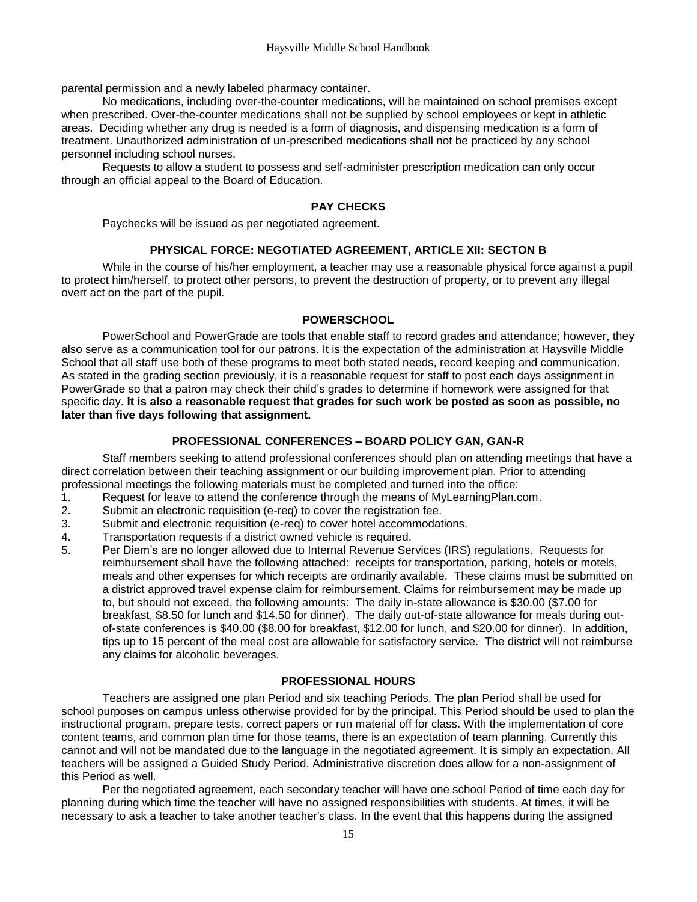parental permission and a newly labeled pharmacy container.

No medications, including over-the-counter medications, will be maintained on school premises except when prescribed. Over-the-counter medications shall not be supplied by school employees or kept in athletic areas. Deciding whether any drug is needed is a form of diagnosis, and dispensing medication is a form of treatment. Unauthorized administration of un-prescribed medications shall not be practiced by any school personnel including school nurses.

<span id="page-17-0"></span>Requests to allow a student to possess and self-administer prescription medication can only occur through an official appeal to the Board of Education.

#### **PAY CHECKS**

Paychecks will be issued as per negotiated agreement.

#### **PHYSICAL FORCE: NEGOTIATED AGREEMENT, ARTICLE XII: SECTON B**

<span id="page-17-1"></span>While in the course of his/her employment, a teacher may use a reasonable physical force against a pupil to protect him/herself, to protect other persons, to prevent the destruction of property, or to prevent any illegal overt act on the part of the pupil.

#### **POWERSCHOOL**

<span id="page-17-2"></span>PowerSchool and PowerGrade are tools that enable staff to record grades and attendance; however, they also serve as a communication tool for our patrons. It is the expectation of the administration at Haysville Middle School that all staff use both of these programs to meet both stated needs, record keeping and communication. As stated in the grading section previously, it is a reasonable request for staff to post each days assignment in PowerGrade so that a patron may check their child's grades to determine if homework were assigned for that specific day. **It is also a reasonable request that grades for such work be posted as soon as possible, no later than five days following that assignment.**

#### **PROFESSIONAL CONFERENCES – BOARD POLICY GAN, GAN-R**

<span id="page-17-3"></span>Staff members seeking to attend professional conferences should plan on attending meetings that have a direct correlation between their teaching assignment or our building improvement plan. Prior to attending professional meetings the following materials must be completed and turned into the office:

- 1. Request for leave to attend the conference through the means of MyLearningPlan.com.
- 2. Submit an electronic requisition (e-req) to cover the registration fee.
- 3. Submit and electronic requisition (e-req) to cover hotel accommodations.
- 4. Transportation requests if a district owned vehicle is required.
- 5. Per Diem's are no longer allowed due to Internal Revenue Services (IRS) regulations. Requests for reimbursement shall have the following attached: receipts for transportation, parking, hotels or motels, meals and other expenses for which receipts are ordinarily available. These claims must be submitted on a district approved travel expense claim for reimbursement. Claims for reimbursement may be made up to, but should not exceed, the following amounts: The daily in-state allowance is \$30.00 (\$7.00 for breakfast, \$8.50 for lunch and \$14.50 for dinner). The daily out-of-state allowance for meals during outof-state conferences is \$40.00 (\$8.00 for breakfast, \$12.00 for lunch, and \$20.00 for dinner). In addition, tips up to 15 percent of the meal cost are allowable for satisfactory service. The district will not reimburse any claims for alcoholic beverages.

#### **PROFESSIONAL HOURS**

<span id="page-17-4"></span>Teachers are assigned one plan Period and six teaching Periods. The plan Period shall be used for school purposes on campus unless otherwise provided for by the principal. This Period should be used to plan the instructional program, prepare tests, correct papers or run material off for class. With the implementation of core content teams, and common plan time for those teams, there is an expectation of team planning. Currently this cannot and will not be mandated due to the language in the negotiated agreement. It is simply an expectation. All teachers will be assigned a Guided Study Period. Administrative discretion does allow for a non-assignment of this Period as well.

Per the negotiated agreement, each secondary teacher will have one school Period of time each day for planning during which time the teacher will have no assigned responsibilities with students. At times, it will be necessary to ask a teacher to take another teacher's class. In the event that this happens during the assigned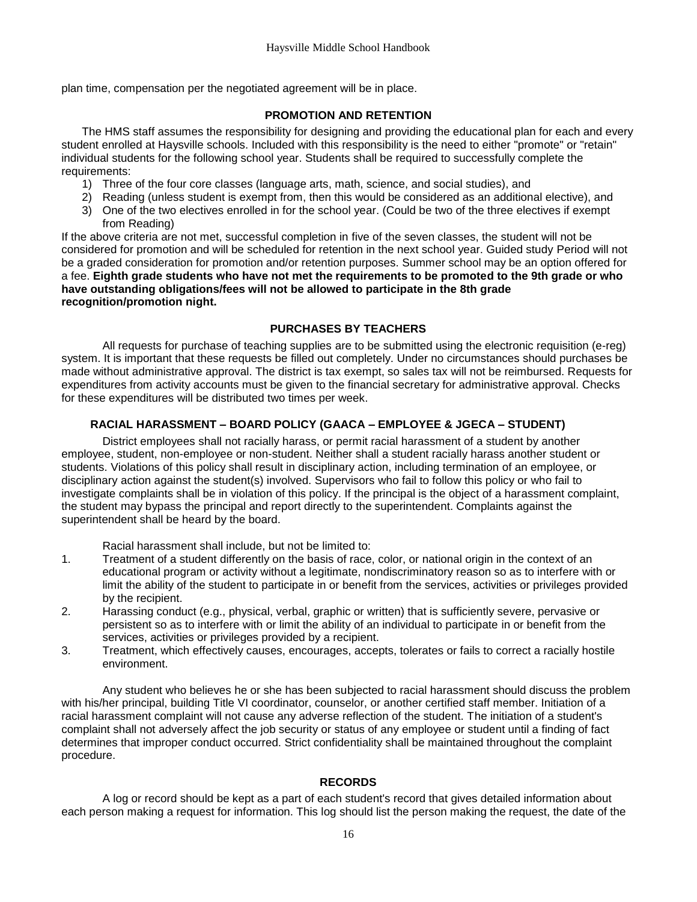<span id="page-18-0"></span>plan time, compensation per the negotiated agreement will be in place.

#### **PROMOTION AND RETENTION**

The HMS staff assumes the responsibility for designing and providing the educational plan for each and every student enrolled at Haysville schools. Included with this responsibility is the need to either "promote" or "retain" individual students for the following school year. Students shall be required to successfully complete the requirements:

- 1) Three of the four core classes (language arts, math, science, and social studies), and
- 2) Reading (unless student is exempt from, then this would be considered as an additional elective), and
- 3) One of the two electives enrolled in for the school year. (Could be two of the three electives if exempt from Reading)

If the above criteria are not met, successful completion in five of the seven classes, the student will not be considered for promotion and will be scheduled for retention in the next school year. Guided study Period will not be a graded consideration for promotion and/or retention purposes. Summer school may be an option offered for a fee. **Eighth grade students who have not met the requirements to be promoted to the 9th grade or who have outstanding obligations/fees will not be allowed to participate in the 8th grade recognition/promotion night.**

#### **PURCHASES BY TEACHERS**

<span id="page-18-1"></span>All requests for purchase of teaching supplies are to be submitted using the electronic requisition (e-reg) system. It is important that these requests be filled out completely. Under no circumstances should purchases be made without administrative approval. The district is tax exempt, so sales tax will not be reimbursed. Requests for expenditures from activity accounts must be given to the financial secretary for administrative approval. Checks for these expenditures will be distributed two times per week.

#### <span id="page-18-2"></span>**RACIAL HARASSMENT – BOARD POLICY (GAACA – EMPLOYEE & JGECA – STUDENT)**

District employees shall not racially harass, or permit racial harassment of a student by another employee, student, non-employee or non-student. Neither shall a student racially harass another student or students. Violations of this policy shall result in disciplinary action, including termination of an employee, or disciplinary action against the student(s) involved. Supervisors who fail to follow this policy or who fail to investigate complaints shall be in violation of this policy. If the principal is the object of a harassment complaint, the student may bypass the principal and report directly to the superintendent. Complaints against the superintendent shall be heard by the board.

Racial harassment shall include, but not be limited to:

- 1. Treatment of a student differently on the basis of race, color, or national origin in the context of an educational program or activity without a legitimate, nondiscriminatory reason so as to interfere with or limit the ability of the student to participate in or benefit from the services, activities or privileges provided by the recipient.
- 2. Harassing conduct (e.g., physical, verbal, graphic or written) that is sufficiently severe, pervasive or persistent so as to interfere with or limit the ability of an individual to participate in or benefit from the services, activities or privileges provided by a recipient.
- 3. Treatment, which effectively causes, encourages, accepts, tolerates or fails to correct a racially hostile environment.

Any student who believes he or she has been subjected to racial harassment should discuss the problem with his/her principal, building Title VI coordinator, counselor, or another certified staff member. Initiation of a racial harassment complaint will not cause any adverse reflection of the student. The initiation of a student's complaint shall not adversely affect the job security or status of any employee or student until a finding of fact determines that improper conduct occurred. Strict confidentiality shall be maintained throughout the complaint procedure.

#### **RECORDS**

<span id="page-18-3"></span>A log or record should be kept as a part of each student's record that gives detailed information about each person making a request for information. This log should list the person making the request, the date of the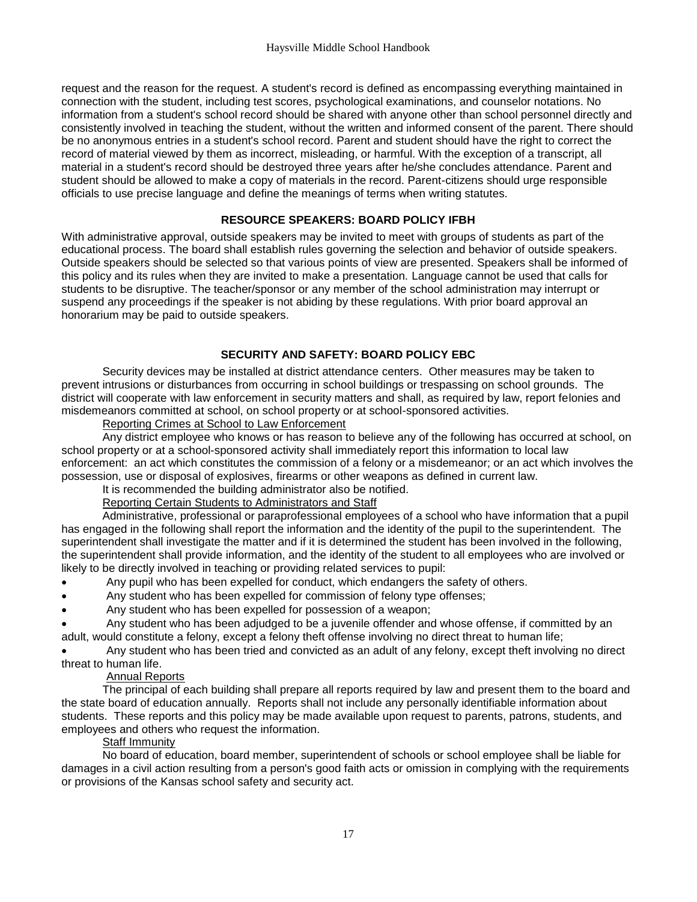request and the reason for the request. A student's record is defined as encompassing everything maintained in connection with the student, including test scores, psychological examinations, and counselor notations. No information from a student's school record should be shared with anyone other than school personnel directly and consistently involved in teaching the student, without the written and informed consent of the parent. There should be no anonymous entries in a student's school record. Parent and student should have the right to correct the record of material viewed by them as incorrect, misleading, or harmful. With the exception of a transcript, all material in a student's record should be destroyed three years after he/she concludes attendance. Parent and student should be allowed to make a copy of materials in the record. Parent-citizens should urge responsible officials to use precise language and define the meanings of terms when writing statutes.

#### **RESOURCE SPEAKERS: BOARD POLICY IFBH**

<span id="page-19-0"></span>With administrative approval, outside speakers may be invited to meet with groups of students as part of the educational process. The board shall establish rules governing the selection and behavior of outside speakers. Outside speakers should be selected so that various points of view are presented. Speakers shall be informed of this policy and its rules when they are invited to make a presentation. Language cannot be used that calls for students to be disruptive. The teacher/sponsor or any member of the school administration may interrupt or suspend any proceedings if the speaker is not abiding by these regulations. With prior board approval an honorarium may be paid to outside speakers.

#### **SECURITY AND SAFETY: BOARD POLICY EBC**

<span id="page-19-1"></span>Security devices may be installed at district attendance centers. Other measures may be taken to prevent intrusions or disturbances from occurring in school buildings or trespassing on school grounds. The district will cooperate with law enforcement in security matters and shall, as required by law, report felonies and misdemeanors committed at school, on school property or at school-sponsored activities.

#### Reporting Crimes at School to Law Enforcement

Any district employee who knows or has reason to believe any of the following has occurred at school, on school property or at a school-sponsored activity shall immediately report this information to local law enforcement: an act which constitutes the commission of a felony or a misdemeanor; or an act which involves the possession, use or disposal of explosives, firearms or other weapons as defined in current law.

## It is recommended the building administrator also be notified.

#### Reporting Certain Students to Administrators and Staff

Administrative, professional or paraprofessional employees of a school who have information that a pupil has engaged in the following shall report the information and the identity of the pupil to the superintendent. The superintendent shall investigate the matter and if it is determined the student has been involved in the following, the superintendent shall provide information, and the identity of the student to all employees who are involved or likely to be directly involved in teaching or providing related services to pupil:

- Any pupil who has been expelled for conduct, which endangers the safety of others.
- Any student who has been expelled for commission of felony type offenses;
- Any student who has been expelled for possession of a weapon;
- Any student who has been adjudged to be a juvenile offender and whose offense, if committed by an adult, would constitute a felony, except a felony theft offense involving no direct threat to human life;

 Any student who has been tried and convicted as an adult of any felony, except theft involving no direct threat to human life.

#### Annual Reports

The principal of each building shall prepare all reports required by law and present them to the board and the state board of education annually. Reports shall not include any personally identifiable information about students. These reports and this policy may be made available upon request to parents, patrons, students, and employees and others who request the information.

#### Staff Immunity

No board of education, board member, superintendent of schools or school employee shall be liable for damages in a civil action resulting from a person's good faith acts or omission in complying with the requirements or provisions of the Kansas school safety and security act.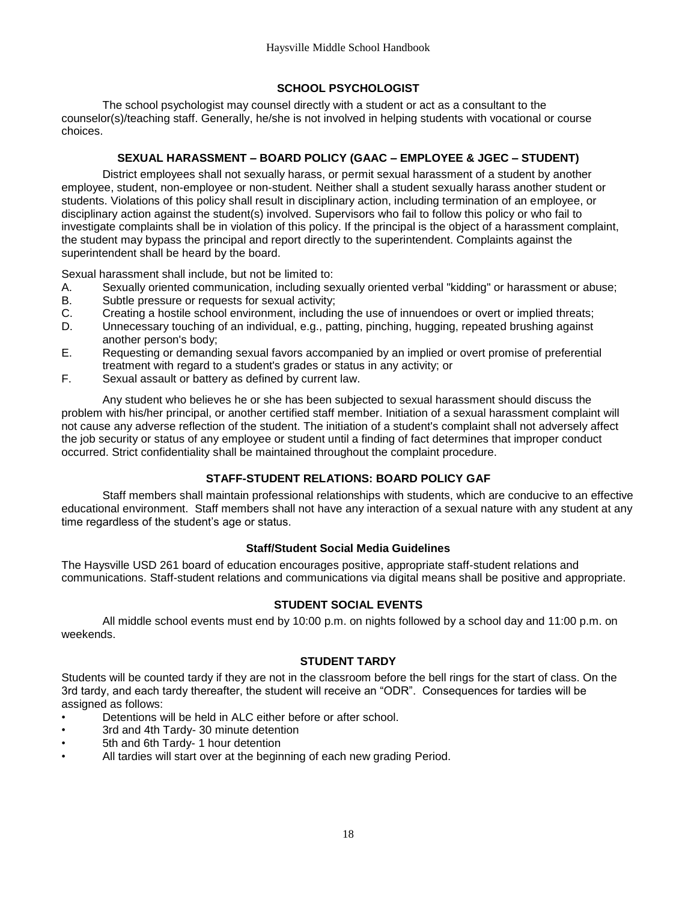#### **SCHOOL PSYCHOLOGIST**

<span id="page-20-0"></span>The school psychologist may counsel directly with a student or act as a consultant to the counselor(s)/teaching staff. Generally, he/she is not involved in helping students with vocational or course choices.

#### **SEXUAL HARASSMENT – BOARD POLICY (GAAC – EMPLOYEE & JGEC – STUDENT)**

<span id="page-20-1"></span>District employees shall not sexually harass, or permit sexual harassment of a student by another employee, student, non-employee or non-student. Neither shall a student sexually harass another student or students. Violations of this policy shall result in disciplinary action, including termination of an employee, or disciplinary action against the student(s) involved. Supervisors who fail to follow this policy or who fail to investigate complaints shall be in violation of this policy. If the principal is the object of a harassment complaint, the student may bypass the principal and report directly to the superintendent. Complaints against the superintendent shall be heard by the board.

Sexual harassment shall include, but not be limited to:

- A. Sexually oriented communication, including sexually oriented verbal "kidding" or harassment or abuse;
- Subtle pressure or requests for sexual activity;
- C. Creating a hostile school environment, including the use of innuendoes or overt or implied threats;
- D. Unnecessary touching of an individual, e.g., patting, pinching, hugging, repeated brushing against another person's body;
- E. Requesting or demanding sexual favors accompanied by an implied or overt promise of preferential treatment with regard to a student's grades or status in any activity; or
- F. Sexual assault or battery as defined by current law.

Any student who believes he or she has been subjected to sexual harassment should discuss the problem with his/her principal, or another certified staff member. Initiation of a sexual harassment complaint will not cause any adverse reflection of the student. The initiation of a student's complaint shall not adversely affect the job security or status of any employee or student until a finding of fact determines that improper conduct occurred. Strict confidentiality shall be maintained throughout the complaint procedure.

### **STAFF-STUDENT RELATIONS: BOARD POLICY GAF**

<span id="page-20-2"></span>Staff members shall maintain professional relationships with students, which are conducive to an effective educational environment. Staff members shall not have any interaction of a sexual nature with any student at any time regardless of the student's age or status.

#### **Staff/Student Social Media Guidelines**

<span id="page-20-4"></span><span id="page-20-3"></span>The Haysville USD 261 board of education encourages positive, appropriate staff-student relations and communications. Staff-student relations and communications via digital means shall be positive and appropriate.

#### **STUDENT SOCIAL EVENTS**

<span id="page-20-5"></span>All middle school events must end by 10:00 p.m. on nights followed by a school day and 11:00 p.m. on weekends.

#### **STUDENT TARDY**

Students will be counted tardy if they are not in the classroom before the bell rings for the start of class. On the 3rd tardy, and each tardy thereafter, the student will receive an "ODR". Consequences for tardies will be assigned as follows:

- Detentions will be held in ALC either before or after school.
- 3rd and 4th Tardy- 30 minute detention
- 5th and 6th Tardy- 1 hour detention
- All tardies will start over at the beginning of each new grading Period.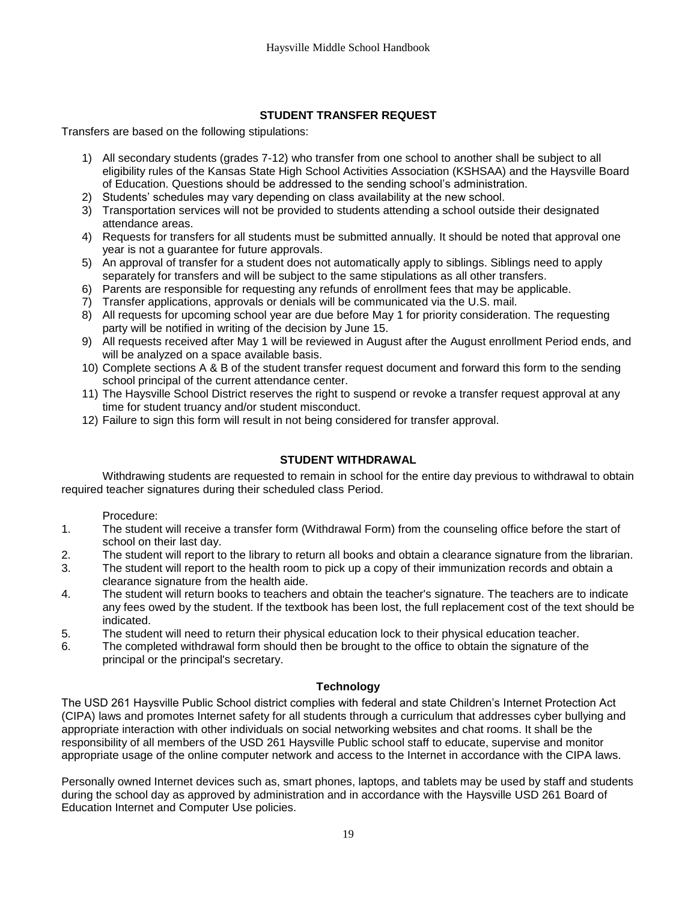### **STUDENT TRANSFER REQUEST**

<span id="page-21-0"></span>Transfers are based on the following stipulations:

- 1) All secondary students (grades 7-12) who transfer from one school to another shall be subject to all eligibility rules of the Kansas State High School Activities Association (KSHSAA) and the Haysville Board of Education. Questions should be addressed to the sending school's administration.
- 2) Students' schedules may vary depending on class availability at the new school.
- 3) Transportation services will not be provided to students attending a school outside their designated attendance areas.
- 4) Requests for transfers for all students must be submitted annually. It should be noted that approval one year is not a guarantee for future approvals.
- 5) An approval of transfer for a student does not automatically apply to siblings. Siblings need to apply separately for transfers and will be subject to the same stipulations as all other transfers.
- 6) Parents are responsible for requesting any refunds of enrollment fees that may be applicable.
- 7) Transfer applications, approvals or denials will be communicated via the U.S. mail.
- 8) All requests for upcoming school year are due before May 1 for priority consideration. The requesting party will be notified in writing of the decision by June 15.
- 9) All requests received after May 1 will be reviewed in August after the August enrollment Period ends, and will be analyzed on a space available basis.
- 10) Complete sections A & B of the student transfer request document and forward this form to the sending school principal of the current attendance center.
- 11) The Haysville School District reserves the right to suspend or revoke a transfer request approval at any time for student truancy and/or student misconduct.
- 12) Failure to sign this form will result in not being considered for transfer approval.

#### **STUDENT WITHDRAWAL**

<span id="page-21-1"></span>Withdrawing students are requested to remain in school for the entire day previous to withdrawal to obtain required teacher signatures during their scheduled class Period.

#### Procedure:

- 1. The student will receive a transfer form (Withdrawal Form) from the counseling office before the start of school on their last day.
- 2. The student will report to the library to return all books and obtain a clearance signature from the librarian.
- 3. The student will report to the health room to pick up a copy of their immunization records and obtain a clearance signature from the health aide.
- 4. The student will return books to teachers and obtain the teacher's signature. The teachers are to indicate any fees owed by the student. If the textbook has been lost, the full replacement cost of the text should be indicated.
- 5. The student will need to return their physical education lock to their physical education teacher.
- <span id="page-21-2"></span>6. The completed withdrawal form should then be brought to the office to obtain the signature of the principal or the principal's secretary.

#### **Technology**

The USD 261 Haysville Public School district complies with federal and state Children's Internet Protection Act (CIPA) laws and promotes Internet safety for all students through a curriculum that addresses cyber bullying and appropriate interaction with other individuals on social networking websites and chat rooms. It shall be the responsibility of all members of the USD 261 Haysville Public school staff to educate, supervise and monitor appropriate usage of the online computer network and access to the Internet in accordance with the CIPA laws.

Personally owned Internet devices such as, smart phones, laptops, and tablets may be used by staff and students during the school day as approved by administration and in accordance with the Haysville USD 261 Board of Education Internet and Computer Use policies.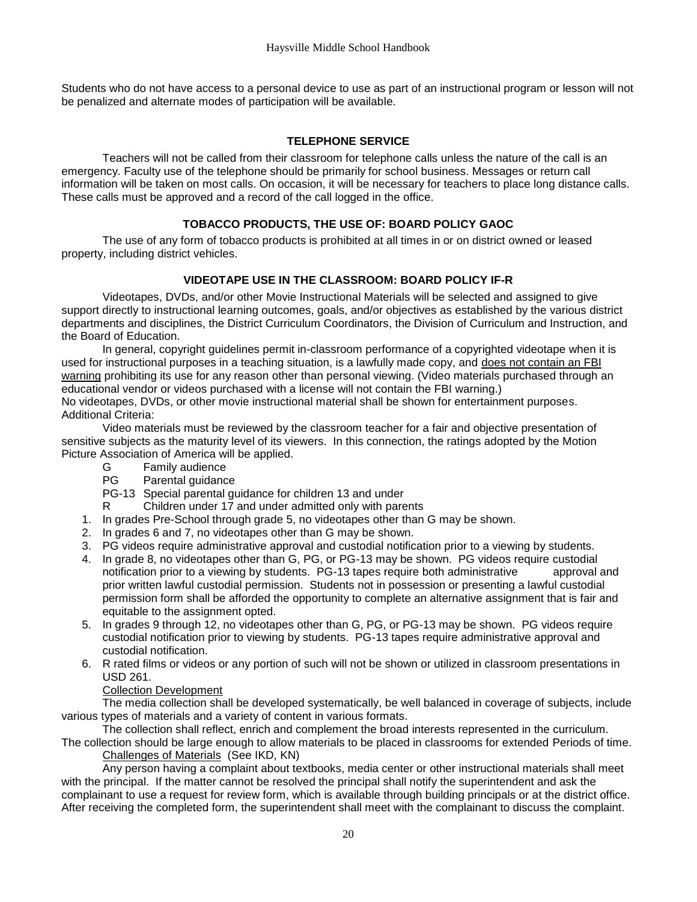Students who do not have access to a personal device to use as part of an instructional program or lesson will not be penalized and alternate modes of participation will be available.

#### **TELEPHONE SERVICE**

<span id="page-22-0"></span>Teachers will not be called from their classroom for telephone calls unless the nature of the call is an emergency. Faculty use of the telephone should be primarily for school business. Messages or return call information will be taken on most calls. On occasion, it will be necessary for teachers to place long distance calls. These calls must be approved and a record of the call logged in the office.

#### **TOBACCO PRODUCTS, THE USE OF: BOARD POLICY GAOC**

<span id="page-22-2"></span><span id="page-22-1"></span>The use of any form of tobacco products is prohibited at all times in or on district owned or leased property, including district vehicles.

#### **VIDEOTAPE USE IN THE CLASSROOM: BOARD POLICY IF-R**

Videotapes, DVDs, and/or other Movie Instructional Materials will be selected and assigned to give support directly to instructional learning outcomes, goals, and/or objectives as established by the various district departments and disciplines, the District Curriculum Coordinators, the Division of Curriculum and Instruction, and the Board of Education.

In general, copyright guidelines permit in-classroom performance of a copyrighted videotape when it is used for instructional purposes in a teaching situation, is a lawfully made copy, and does not contain an FBI warning prohibiting its use for any reason other than personal viewing. (Video materials purchased through an educational vendor or videos purchased with a license will not contain the FBI warning.) No videotapes, DVDs, or other movie instructional material shall be shown for entertainment purposes. Additional Criteria:

Video materials must be reviewed by the classroom teacher for a fair and objective presentation of sensitive subjects as the maturity level of its viewers. In this connection, the ratings adopted by the Motion Picture Association of America will be applied.

- G Family audience
- PG Parental guidance

PG-13 Special parental guidance for children 13 and under

- R Children under 17 and under admitted only with parents
- 1. In grades Pre-School through grade 5, no videotapes other than G may be shown.
- 2. In grades 6 and 7, no videotapes other than G may be shown.
- 3. PG videos require administrative approval and custodial notification prior to a viewing by students.
- 4. In grade 8, no videotapes other than G, PG, or PG-13 may be shown. PG videos require custodial notification prior to a viewing by students. PG-13 tapes require both administrative approval and prior written lawful custodial permission. Students not in possession or presenting a lawful custodial permission form shall be afforded the opportunity to complete an alternative assignment that is fair and equitable to the assignment opted.
- 5. In grades 9 through 12, no videotapes other than G, PG, or PG-13 may be shown. PG videos require custodial notification prior to viewing by students. PG-13 tapes require administrative approval and custodial notification.
- 6. R rated films or videos or any portion of such will not be shown or utilized in classroom presentations in USD 261.

#### Collection Development

The media collection shall be developed systematically, be well balanced in coverage of subjects, include various types of materials and a variety of content in various formats.

The collection shall reflect, enrich and complement the broad interests represented in the curriculum.

The collection should be large enough to allow materials to be placed in classrooms for extended Periods of time. Challenges of Materials (See IKD, KN)

Any person having a complaint about textbooks, media center or other instructional materials shall meet with the principal. If the matter cannot be resolved the principal shall notify the superintendent and ask the complainant to use a request for review form, which is available through building principals or at the district office. After receiving the completed form, the superintendent shall meet with the complainant to discuss the complaint.